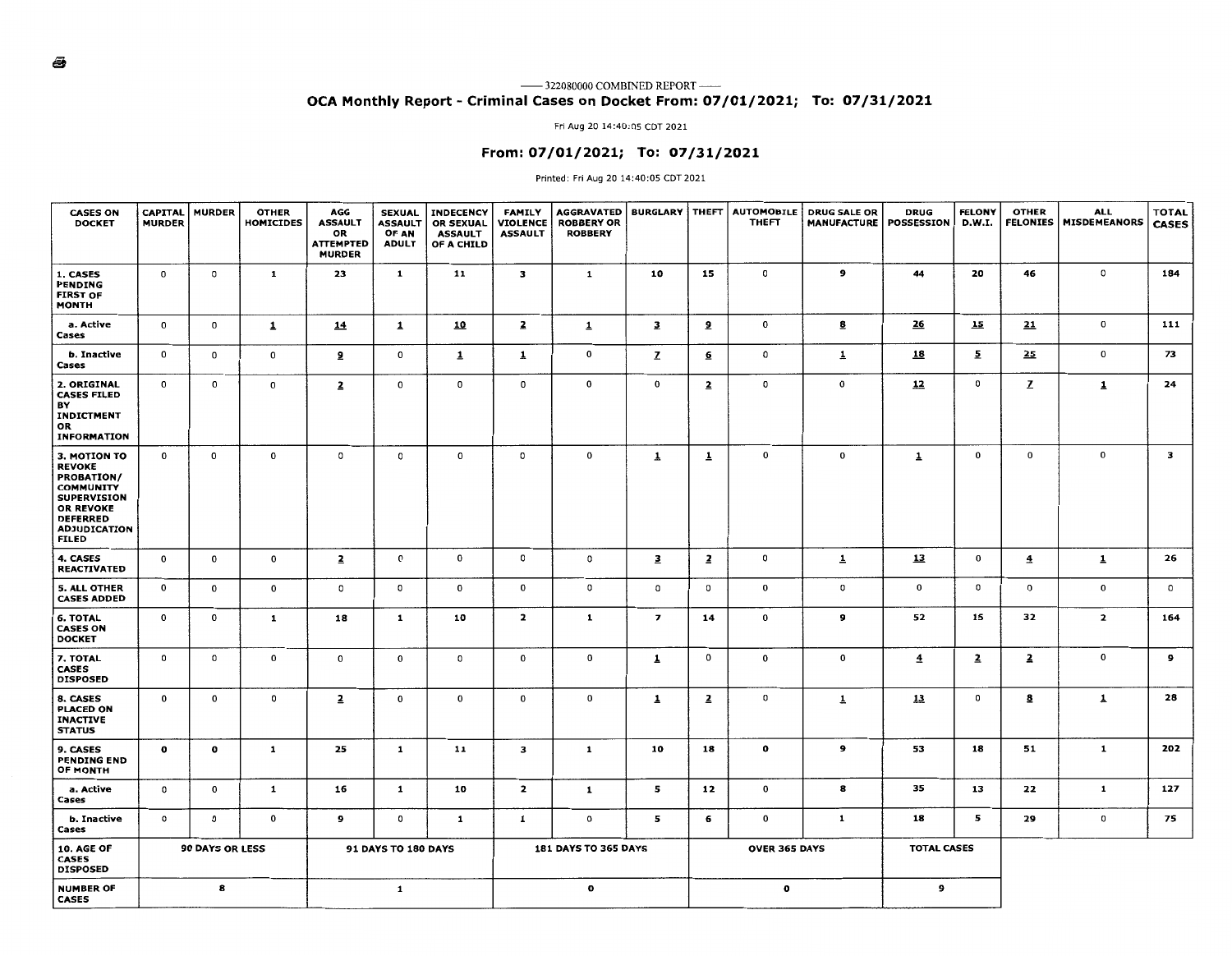#### —— 322080000 COMBINED REPORT —— **OCA Monthly Report** - **Criminal Cases on Docket From: 07/01/2021; To: 07/31/2021**

Fri Aug 20 14:40:05 CDT 2021

#### **From: 07/01/2021; To: 07/31/2021**

#### Printed: Fri Aug 20 14:40:05 CDT 2021

| <b>CASES ON</b><br><b>DOCKET</b>                                                                                                                                                  | <b>CAPITAL</b><br><b>MURDER</b> | <b>MURDER</b>          | <b>OTHER</b><br><b>HOMICIDES</b> | AGG<br><b>ASSAULT</b><br>OR<br><b>ATTEMPTED</b><br><b>MURDER</b> | <b>SEXUAL</b><br><b>ASSAULT</b><br>OF AN<br><b>ADULT</b> | <b>INDECENCY</b><br><b>OR SEXUAL</b><br><b>ASSAULT</b><br>OF A CHILD | <b>FAMILY</b><br><b>VIOLENCE</b><br><b>ASSAULT</b> | <b>AGGRAVATED</b><br><b>ROBBERY OR</b><br><b>ROBBERY</b> |                          |                         | <b>BURGLARY   THEFT   AUTOMOBILE</b><br><b>THEFT</b> | <b>DRUG SALE OR</b><br><b>MANUFACTURE   POSSESSION</b> | <b>DRUG</b>        | <b>FELONY</b><br>D.W.I. | <b>OTHER</b><br><b>FELONIES</b> | <b>ALL</b><br><b>MISDEMEANORS</b> | <b>TOTAL</b><br><b>CASES</b> |
|-----------------------------------------------------------------------------------------------------------------------------------------------------------------------------------|---------------------------------|------------------------|----------------------------------|------------------------------------------------------------------|----------------------------------------------------------|----------------------------------------------------------------------|----------------------------------------------------|----------------------------------------------------------|--------------------------|-------------------------|------------------------------------------------------|--------------------------------------------------------|--------------------|-------------------------|---------------------------------|-----------------------------------|------------------------------|
| 1. CASES<br><b>PENDING</b><br><b>FIRST OF</b><br>MONTH                                                                                                                            | $\mathbf 0$                     | 0                      | $\mathbf{1}$                     | 23                                                               | $\mathbf{1}$                                             | 11                                                                   | з                                                  | 1                                                        | 10                       | 15                      | O                                                    | 9                                                      | 44                 | 20                      | 46                              | 0                                 | 184                          |
| a. Active<br>Cases                                                                                                                                                                | $\mathbf 0$                     | $\mathbf 0$            | $\overline{1}$                   | <u>14</u>                                                        | $\overline{1}$                                           | <u>10</u>                                                            | $\overline{2}$                                     | $\overline{1}$                                           | $\mathbf{3}$             | 2                       | 0                                                    | <u>8</u>                                               | <u>26</u>          | 15                      | 21                              | $\mathbf 0$                       | 111                          |
| b. Inactive<br>Cases                                                                                                                                                              | $\mathbf 0$                     | $\mathbf{o}$           | $\mathbf 0$                      | 2                                                                | 0                                                        | $\overline{1}$                                                       | 1                                                  | $\mathbf{o}$                                             | z                        | <u>6</u>                | 0                                                    | $\overline{1}$                                         | <u>18</u>          | $\overline{2}$          | 25                              | 0                                 | 73                           |
| 2. ORIGINAL<br><b>CASES FILED</b><br>ΒY<br>INDICTMENT<br>OR<br><b>INFORMATION</b>                                                                                                 | $\mathbf{o}$                    | 0                      | 0                                | $\overline{2}$                                                   | 0                                                        | $\mathbf 0$                                                          | $\mathbf{o}$                                       | $\mathbf 0$                                              | $\mathbf 0$              | $\overline{2}$          | 0                                                    | $\mathbf 0$                                            | 12                 | o                       | z                               | 1                                 | 24                           |
| <b>3. MOTION TO</b><br><b>REVOKE</b><br><b>PROBATION/</b><br><b>COMMUNITY</b><br><b>SUPERVISION</b><br><b>OR REVOKE</b><br><b>DEFERRED</b><br><b>ADJUDICATION</b><br><b>FILED</b> | $\mathbf 0$                     | 0                      | $\mathbf 0$                      | $^{\circ}$                                                       | 0                                                        | $\mathbf 0$                                                          | $\circ$                                            | 0                                                        | $\mathbf{1}$             | $\overline{1}$          | $\mathbf 0$                                          | 0                                                      | $\overline{1}$     | 0                       | $\mathbf{o}$                    | 0                                 | з                            |
| 4. CASES<br><b>REACTIVATED</b>                                                                                                                                                    | $\mathbf 0$                     | 0                      | $\mathbf 0$                      | $\overline{2}$                                                   | 0                                                        | $\mathbf{o}$                                                         | $\circ$                                            | $\circ$                                                  | $\overline{\mathbf{3}}$  | $\overline{\mathbf{z}}$ | 0                                                    | $\overline{1}$                                         | 13                 | 0                       | $\overline{4}$                  | $\overline{\mathbf{1}}$           | 26                           |
| 5. ALL OTHER<br><b>CASES ADDED</b>                                                                                                                                                | $\mathbf{o}$                    | 0                      | $\mathbf 0$                      | $\circ$                                                          | 0                                                        | $\mathbf{o}$                                                         | $\mathbf 0$                                        | $\circ$                                                  | o                        | 0                       | $\mathbf{o}$                                         | 0                                                      | $\mathbf 0$        | 0                       | 0                               | 0                                 | $^{\circ}$                   |
| <b>6. TOTAL</b><br><b>CASES ON</b><br><b>DOCKET</b>                                                                                                                               | 0                               | 0                      | 1                                | 18                                                               | 1                                                        | 10                                                                   | $\overline{2}$                                     | 1                                                        | $\overline{\phantom{a}}$ | 14                      | 0                                                    | 9                                                      | 52                 | 15                      | 32                              | $\mathbf{z}$                      | 164                          |
| 7. TOTAL<br><b>CASES</b><br><b>DISPOSED</b>                                                                                                                                       | $\mathbf{o}$                    | 0                      | $\mathbf 0$                      | $\mathbf 0$                                                      | 0                                                        | $\circ$                                                              | $\mathbf 0$                                        | $\mathbf{o}$                                             | 1                        | $\mathbf 0$             | 0                                                    | 0                                                      | $\overline{4}$     | $\overline{a}$          | $\overline{a}$                  | 0                                 | 9                            |
| 8. CASES<br><b>PLACED ON</b><br><b>INACTIVE</b><br><b>STATUS</b>                                                                                                                  | 0                               | 0                      | 0                                | $\overline{2}$                                                   | 0                                                        | 0                                                                    | $\mathbf 0$                                        | $\mathbf 0$                                              | $\overline{1}$           | $\overline{2}$          | $\circ$                                              | $\overline{1}$                                         | 13                 | 0                       | 8                               | $\overline{1}$                    | 28                           |
| 9. CASES<br><b>PENDING END</b><br><b>OF MONTH</b>                                                                                                                                 | $\mathbf{o}$                    | o                      | $\mathbf{1}$                     | 25                                                               | 1                                                        | 11                                                                   | $\mathbf{3}$                                       | 1                                                        | 10                       | 18                      | 0                                                    | 9                                                      | 53                 | 18                      | 51                              | $\mathbf{1}$                      | 202                          |
| a. Active<br>Cases                                                                                                                                                                | 0                               | 0                      | 1                                | 16                                                               | 1                                                        | 10                                                                   | $\overline{\mathbf{z}}$                            | 1                                                        | 5                        | 12                      | 0                                                    | 8                                                      | 35                 | 13                      | 22                              | $\mathbf{1}$                      | 127                          |
| b. Inactive<br>Cases                                                                                                                                                              | 0                               | 0                      | 0                                | 9                                                                | o                                                        | $\mathbf{1}$                                                         | 1                                                  | 0                                                        | 5                        | 6                       | 0                                                    | $\mathbf{1}$                                           | 18                 | 5                       | 29                              | 0                                 | 75                           |
| <b>10. AGE OF</b><br><b>CASES</b><br><b>DISPOSED</b>                                                                                                                              |                                 | <b>90 DAYS OR LESS</b> |                                  |                                                                  | 91 DAYS TO 180 DAYS                                      |                                                                      |                                                    | <b>181 DAYS TO 365 DAYS</b>                              |                          |                         | <b>OVER 365 DAYS</b>                                 |                                                        | <b>TOTAL CASES</b> |                         |                                 |                                   |                              |
| <b>NUMBER OF</b><br><b>CASES</b>                                                                                                                                                  |                                 | 8                      |                                  |                                                                  | 1                                                        |                                                                      |                                                    | $\mathbf o$                                              |                          |                         | o                                                    |                                                        | 9                  |                         |                                 |                                   |                              |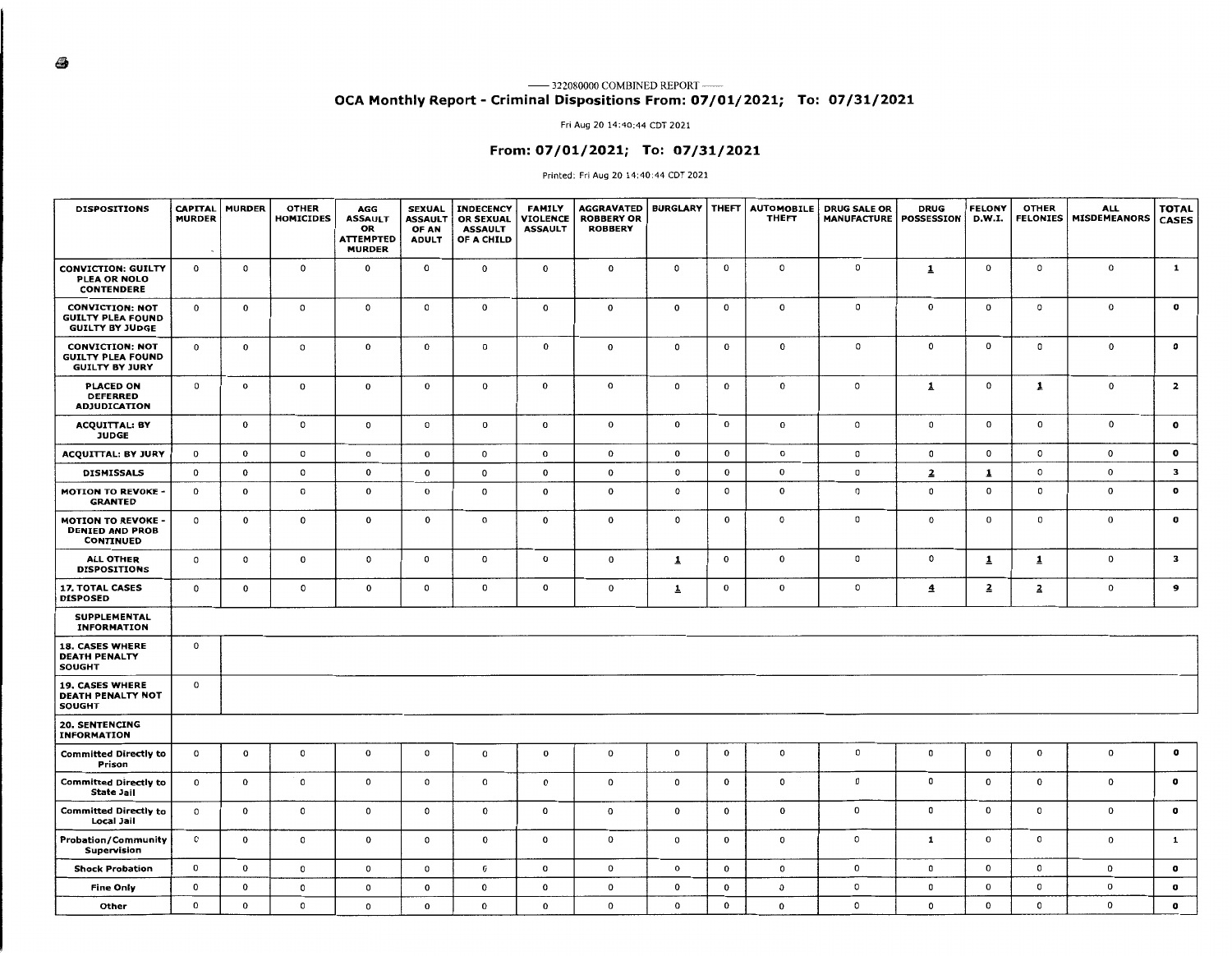### **OCA Monthly Report** - **Criminal Dispositions From: 07/01/2021; To: 07/31/2021**

#### Fri Aug 20 14:40:44 CDT 2021

#### **From: 07/01/2021; To: 07/31/2021**

#### Printed: Fri Aug 20 14:40:44 CDT 2021

| <b>DISPOSITIONS</b>                                                          | <b>CAPITAL</b><br><b>MURDER</b> | <b>MURDER</b> | <b>OTHER</b><br><b>HOMICIDES</b> | AGG<br><b>ASSAULT</b><br>OR<br><b>ATTEMPTED</b><br><b>MURDER</b> | <b>SEXUAL</b><br><b>ASSAULT</b><br>OF AN<br><b>ADULT</b> | <b>INDECENCY</b><br><b>OR SEXUAL</b><br><b>ASSAULT</b><br>OF A CHILD | <b>FAMILY</b><br><b>VIOLENCE</b><br><b>ASSAULT</b> | <b>AGGRAVATED</b><br><b>ROBBERY OR</b><br><b>ROBBERY</b> | <b>BURGLARY   THEFT</b> |              | <b>AUTOMOBILE</b><br><b>THEFT</b> | <b>DRUG SALE OR</b><br><b>MANUFACTURE</b> | <b>DRUG</b><br>POSSESSION | <b>FELONY</b><br>D.W.I. | <b>OTHER</b><br><b>FELONIES</b> | <b>ALL</b><br><b>MISDEMEANORS</b> | <b>TOTAL</b><br><b>CASES</b> |
|------------------------------------------------------------------------------|---------------------------------|---------------|----------------------------------|------------------------------------------------------------------|----------------------------------------------------------|----------------------------------------------------------------------|----------------------------------------------------|----------------------------------------------------------|-------------------------|--------------|-----------------------------------|-------------------------------------------|---------------------------|-------------------------|---------------------------------|-----------------------------------|------------------------------|
| <b>CONVICTION: GUILTY</b><br>PLEA OR NOLO<br><b>CONTENDERE</b>               | o                               | 0             | $\mathbf 0$                      | $\mathbf 0$                                                      | 0                                                        | $\mathbf 0$                                                          | $\mathbf 0$                                        | $\mathbf 0$                                              | $\circ$                 | 0            | $\mathsf{o}$                      | o                                         | $\mathbf{1}$              | 0                       | 0                               | $\mathbf{o}$                      | $\mathbf{1}$                 |
| <b>CONVICTION: NOT</b><br><b>GUILTY PLEA FOUND</b><br><b>GUILTY BY JUDGE</b> | $\mathbf 0$                     | $\mathbf 0$   | o                                | $\circ$                                                          | $\mathsf{o}\,$                                           | $\mathbf 0$                                                          | $\mathbf{o}$                                       | 0                                                        | $\mathbf{o}$            | 0            | $\mathbf 0$                       | 0                                         | $\mathbf 0$               | $\mathbf{o}$            | $\mathsf{o}\,$                  | $\mathbf{o}$                      | $\mathbf o$                  |
| <b>CONVICTION: NOT</b><br><b>GUILTY PLEA FOUND</b><br><b>GUILTY BY JURY</b>  | $\mathbf 0$                     | $\mathbf 0$   | o                                | $\mathbf 0$                                                      | $\mathbf 0$                                              | $\mathbf{o}$                                                         | $\mathbf 0$                                        | $\mathbf 0$                                              | $\mathbf 0$             | $\mathbf 0$  | $\mathbf 0$                       | 0                                         | $\circ$                   | $\mathbf{o}$            | 0                               | 0                                 | $\mathbf{o}$                 |
| <b>PLACED ON</b><br><b>DEFERRED</b><br><b>ADJUDICATION</b>                   | $\mathsf{o}$                    | 0             | 0                                | $\mathbf 0$                                                      | 0                                                        | 0                                                                    | 0                                                  | $\mathbf 0$                                              | $\circ$                 | 0            | $\mathbf 0$                       | $\mathsf{o}\,$                            | $\mathbf{1}$              | $\mathbf{0}$            | $\mathbf{1}$                    | 0                                 | $\overline{z}$               |
| <b>ACQUITTAL: BY</b><br>JUDGE                                                |                                 | $\mathbf 0$   | $\mathsf{O}\xspace$              | $\mathsf{o}\,$                                                   | 0                                                        | $\mathbf 0$                                                          | $\mathbf{o}$                                       | $\mathbf{o}$                                             | $\mathbf{0}$            | $\mathbf{o}$ | $\mathbf 0$                       | $\mathsf{o}$                              | $\circ$                   | $\mathbf 0$             | $\mathbf 0$                     | $\mathbf{o}$                      | $\mathbf{o}$                 |
| <b>ACQUITTAL: BY JURY</b>                                                    | $\mathbf 0$                     | 0             | $\mathsf{o}\,$                   | 0                                                                | $\mathbf 0$                                              | $\mathbf 0$                                                          | $\mathbf{o}$                                       | $\mathbf 0$                                              | $\mathbf 0$             | 0            | o                                 | $\mathsf 0$                               | 0                         | $\mathbf 0$             | $\mathsf{o}\,$                  | 0                                 | $\mathbf{o}$                 |
| <b>DISMISSALS</b>                                                            | $\mathbf 0$                     | 0             | $\mathsf{o}\,$                   | 0                                                                | $\mathbf{o}$                                             | $\mathbf 0$                                                          | 0                                                  | $\mathbf 0$                                              | 0                       | 0            | $\mathbf 0$                       | $\mathbf 0$                               | $\overline{2}$            | 1                       | $\mathsf{o}\,$                  | 0                                 | $\mathbf{3}$                 |
| <b>MOTION TO REVOKE -</b><br><b>GRANTED</b>                                  | $\mathbf{o}$                    | $\mathbf 0$   | $\circ$                          | $\mathbf 0$                                                      | $\mathbf 0$                                              | $\mathbf 0$                                                          | 0                                                  | $\mathbf{o}$                                             | 0                       | 0            | $\mathbf{o}$                      | $\mathsf 0$                               | $\mathbf 0$               | $\mathbf 0$             | 0                               | 0                                 | $\mathbf{o}$                 |
| <b>MOTION TO REVOKE</b><br><b>DENIED AND PROB</b><br><b>CONTINUED</b>        | $\mathsf{o}$                    | $\pmb{0}$     | $\pmb{0}$                        | $\mathbf 0$                                                      | 0                                                        | $\mathbf 0$                                                          | 0                                                  | $\mathbf 0$                                              | 0                       | $\mathbf 0$  | $\mathbf{o}$                      | $\mathsf 0$                               | $\circ$                   | $\mathbf{o}$            | $\mathbf 0$                     | 0                                 | $\bullet$                    |
| <b>ALL OTHER</b><br><b>DISPOSITIONS</b>                                      | $\circ$                         | $\circ$       | $\mathbf 0$                      | $\mathbf 0$                                                      | 0                                                        | $\mathbf 0$                                                          | $\mathbf 0$                                        | $\mathbf 0$                                              | $\overline{\mathbf{1}}$ | 0            | $\mathbf 0$                       | $\,$ 0                                    | $\circ$                   | $\overline{1}$          | $\mathbf{1}$                    | 0                                 | $\mathbf{3}$                 |
| 17. TOTAL CASES<br><b>DISPOSED</b>                                           | $\mathbf 0$                     | $\bf{0}$      | $\mathbf 0$                      | $\mathbf 0$                                                      | 0                                                        | $\mathbf 0$                                                          | $\mathbf 0$                                        | 0                                                        | $\overline{\mathbf{r}}$ | 0            | $\mathbf 0$                       | $\mathsf{o}$                              | $\overline{\mathbf{4}}$   | $\overline{a}$          | $\overline{\mathbf{z}}$         | 0                                 | $\mathbf{9}$                 |
| <b>SUPPLEMENTAL</b><br><b>INFORMATION</b>                                    |                                 |               |                                  |                                                                  |                                                          |                                                                      |                                                    |                                                          |                         |              |                                   |                                           |                           |                         |                                 |                                   |                              |
| <b>18. CASES WHERE</b><br><b>DEATH PENALTY</b><br><b>SOUGHT</b>              | $\mathbf{o}$                    |               |                                  |                                                                  |                                                          |                                                                      |                                                    |                                                          |                         |              |                                   |                                           |                           |                         |                                 |                                   |                              |
| <b>19. CASES WHERE</b><br><b>DEATH PENALTY NOT</b><br><b>SOUGHT</b>          | $\mathbf{o}$                    |               |                                  |                                                                  |                                                          |                                                                      |                                                    |                                                          |                         |              |                                   |                                           |                           |                         |                                 |                                   |                              |
| <b>20. SENTENCING</b><br><b>INFORMATION</b>                                  |                                 |               |                                  |                                                                  |                                                          |                                                                      |                                                    |                                                          |                         |              |                                   |                                           |                           |                         |                                 |                                   |                              |
| <b>Committed Directly to</b><br>Prison                                       | $\mathbf{o}$                    | $\mathbf{o}$  | 0                                | $\mathbf{o}$                                                     | $^{\circ}$                                               | $\mathbf{o}$                                                         | $\mathbf 0$                                        | $\mathbf 0$                                              | $\mathsf{o}\,$          | 0            | $\mathsf{O}$                      | 0                                         | 0                         | 0                       | $\mathbf 0$                     | $\mathbf 0$                       | o                            |
| <b>Committed Directly to</b><br><b>State Jail</b>                            | $\mathbf{0}$                    | $\mathbf{o}$  | 0                                | 0                                                                | $\circ$                                                  | o                                                                    | $\mathbf 0$                                        | $\mathbf{0}$                                             | $\mathsf{o}\,$          | 0            | $\circ$                           | 0                                         | 0                         | $\mathbf{o}$            | 0                               | $\mathbf{O}$                      | o                            |
| <b>Committed Directly to</b><br>Local Jail                                   | $^{\circ}$                      | $\mathbf{o}$  | 0                                | 0                                                                | $\circ$                                                  | $\mathbf 0$                                                          | $\mathbf{o}$                                       | $\mathbf{o}$                                             | $\mathbf 0$             | 0            | $\mathbf 0$                       | $\mathbf 0$                               | 0                         | $\mathbf{o}$            | 0                               | $\mathbf{O}$                      | $\mathbf o$                  |
| Probation/Community<br>Supervision                                           | $\circ$                         | $\mathbf{o}$  | $\circ$                          | 0                                                                | $\circ$                                                  | $\mathbf 0$                                                          | $\mathbf{o}$                                       | $\mathbf 0$                                              | $\mathsf{o}\,$          | 0            | $\circ$                           | $\mathsf{o}$                              | 1                         | $\mathbf{o}$            | 0                               | $\mathbf{O}$                      | $\mathbf{1}$                 |
| <b>Shock Probation</b>                                                       | $\mathbf 0$                     | $\mathbf{o}$  | 0                                | 0                                                                | $\mathsf{o}$                                             | $\mathbf 0$                                                          | $\mathbf{o}$                                       | $\mathbf 0$                                              | 0                       | 0            | $\mathsf{o}\,$                    | $\mathbf 0$                               | 0                         | $\mathbf 0$             | $\circ$                         | $\mathbf{O}$                      | $\mathbf o$                  |
| <b>Fine Only</b>                                                             | 0                               | 0             | 0                                | o                                                                | $\mathbf 0$                                              | $\mathbf 0$                                                          | $\mathbf 0$                                        | $\mathbf{o}$                                             | $\bf{0}$                | 0            | $\mathbf 0$                       | $\circ$                                   | 0                         | $\mathbf{o}$            | $\circ$                         | $\mathbf 0$                       | 0                            |
| Other                                                                        | $\mathbf 0$                     | 0             | 0                                | 0                                                                | $\mathbf 0$                                              | $\mathbf 0$                                                          | $\mathbf 0$                                        | $\mathbf{0}$                                             | $\Omega$                | $\mathbf{o}$ | $\mathbf 0$                       | $\mathbf 0$                               | 0                         | 0                       | 0                               | 0                                 | $\mathbf o$                  |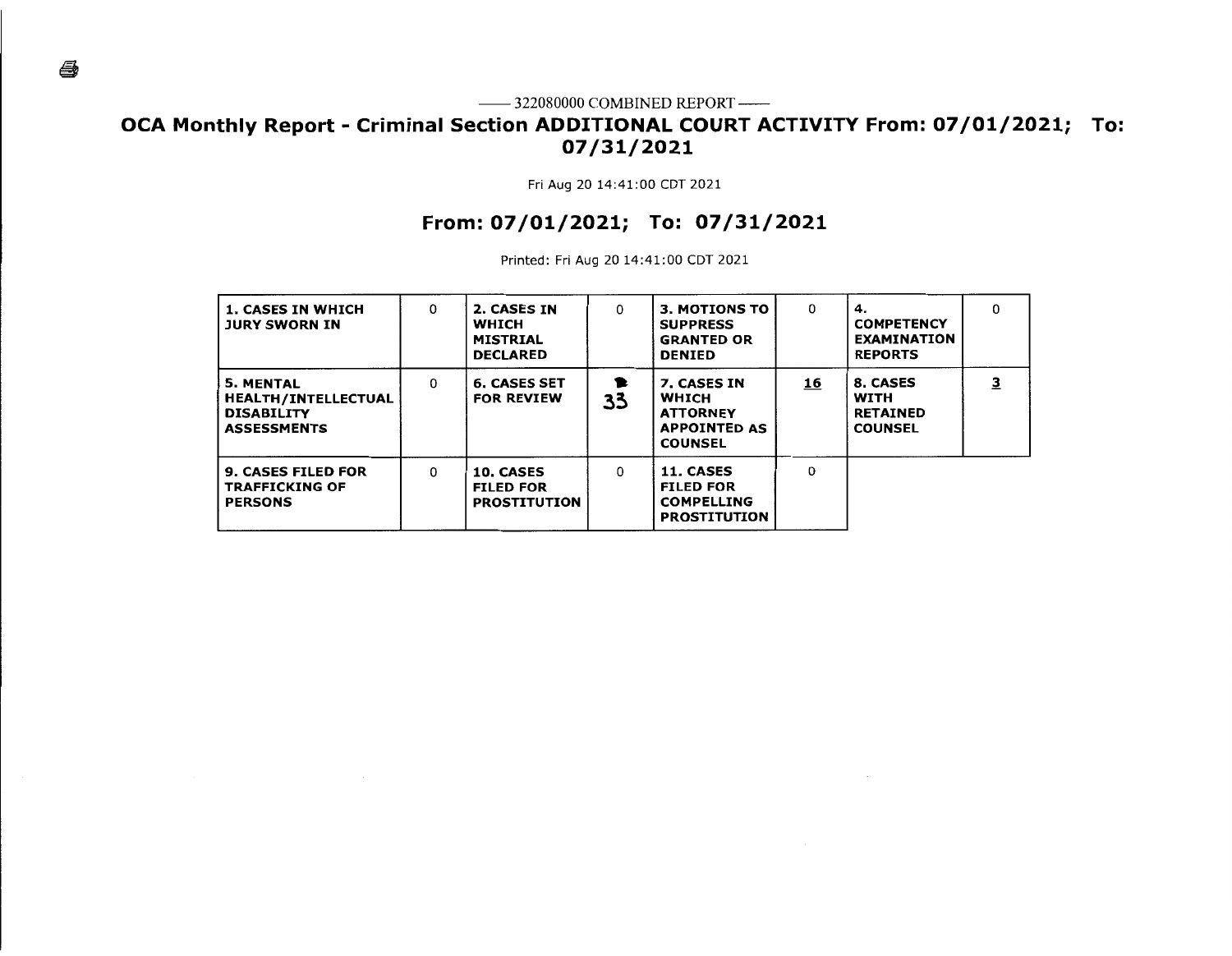# **OCA Monthly Report - Criminal Section ADDITIONAL COURT ACTIVITY From: 07/01/2021; To: 07/31/2021**

Fri Aug 20 14:41:00 CDT 2021

# **From: 07/01/2021; To: 07/31/2021**

Printed: Fri Aug 20 14:41:00 CDT 2021

| <b>1. CASES IN WHICH</b><br><b>JURY SWORN IN</b>                                          | 0 | 2. CASES IN<br><b>WHICH</b><br><b>MISTRIAL</b><br><b>DECLARED</b> | 0       | <b>3. MOTIONS TO</b><br><b>SUPPRESS</b><br><b>GRANTED OR</b><br><b>DENIED</b>           | 0        | 4.<br><b>COMPETENCY</b><br><b>EXAMINATION</b><br><b>REPORTS</b> | 0 |
|-------------------------------------------------------------------------------------------|---|-------------------------------------------------------------------|---------|-----------------------------------------------------------------------------------------|----------|-----------------------------------------------------------------|---|
| <b>5. MENTAL</b><br><b>HEALTH/INTELLECTUAL</b><br><b>DISABILITY</b><br><b>ASSESSMENTS</b> | 0 | <b>6. CASES SET</b><br><b>FOR REVIEW</b>                          | 1<br>33 | 7. CASES IN<br><b>WHICH</b><br><b>ATTORNEY</b><br><b>APPOINTED AS</b><br><b>COUNSEL</b> | 16       | 8. CASES<br>WITH<br><b>RETAINED</b><br><b>COUNSEL</b>           | 3 |
| <b>9. CASES FILED FOR</b><br><b>TRAFFICKING OF</b><br><b>PERSONS</b>                      | 0 | 10. CASES<br><b>FILED FOR</b><br><b>PROSTITUTION</b>              | 0       | 11. CASES<br><b>FILED FOR</b><br><b>COMPELLING</b><br><b>PROSTITUTION</b>               | $\Omega$ |                                                                 |   |

é,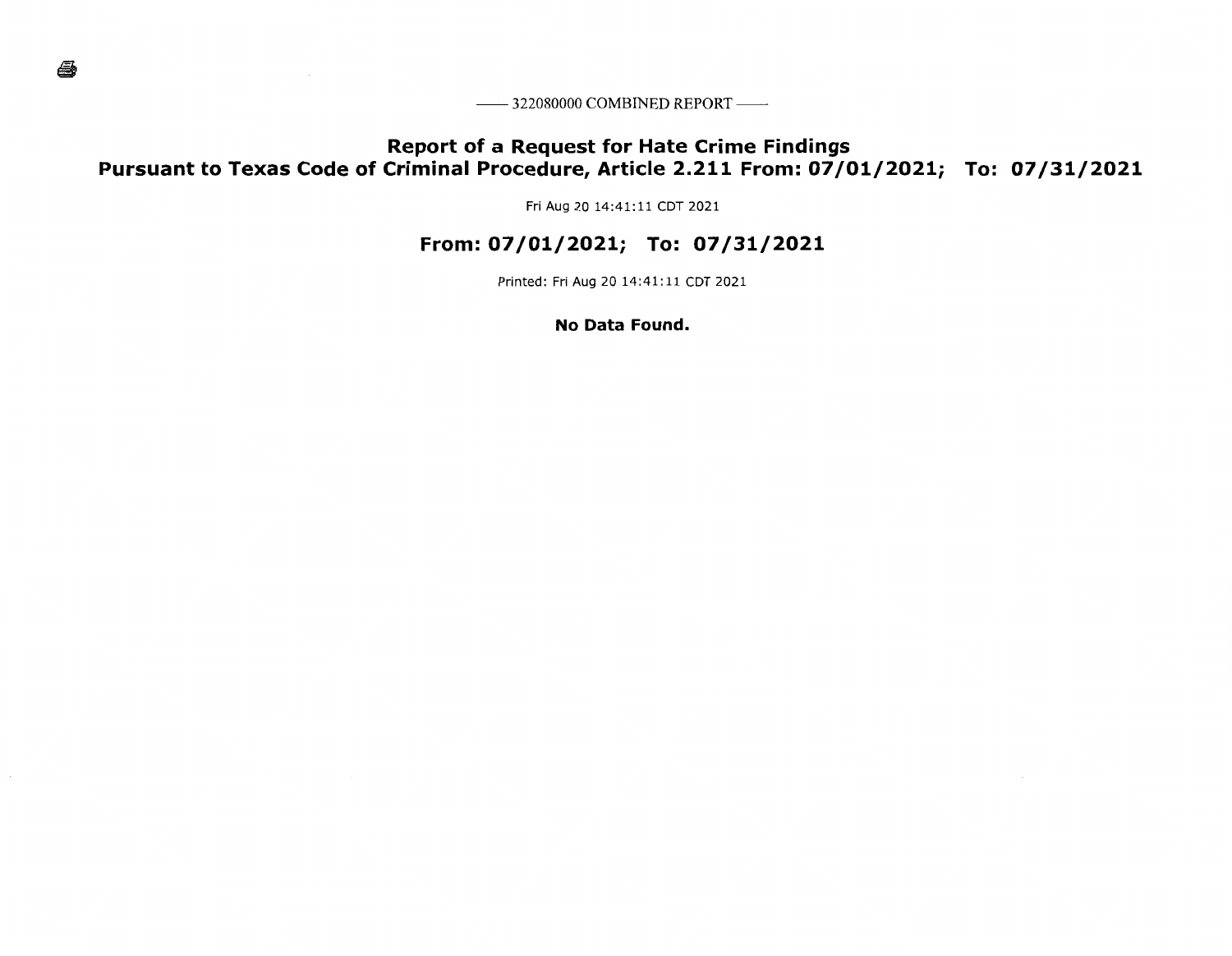—— 322080000 COMBINED REPORT ——

# **Report of a Request for Hate Crime Findings Pursuant to Texas Code of Criminal Procedure, Article 2.211 From: 07/01/2021; To: 07/31/2021**

Fri Aug 20 14:41:11 CDT 2021

## **From: 07/01/2021; To: 07/31/2021**

Printed: Fri Aug 20 14:41:11 CDT 2021

**No Data Found.**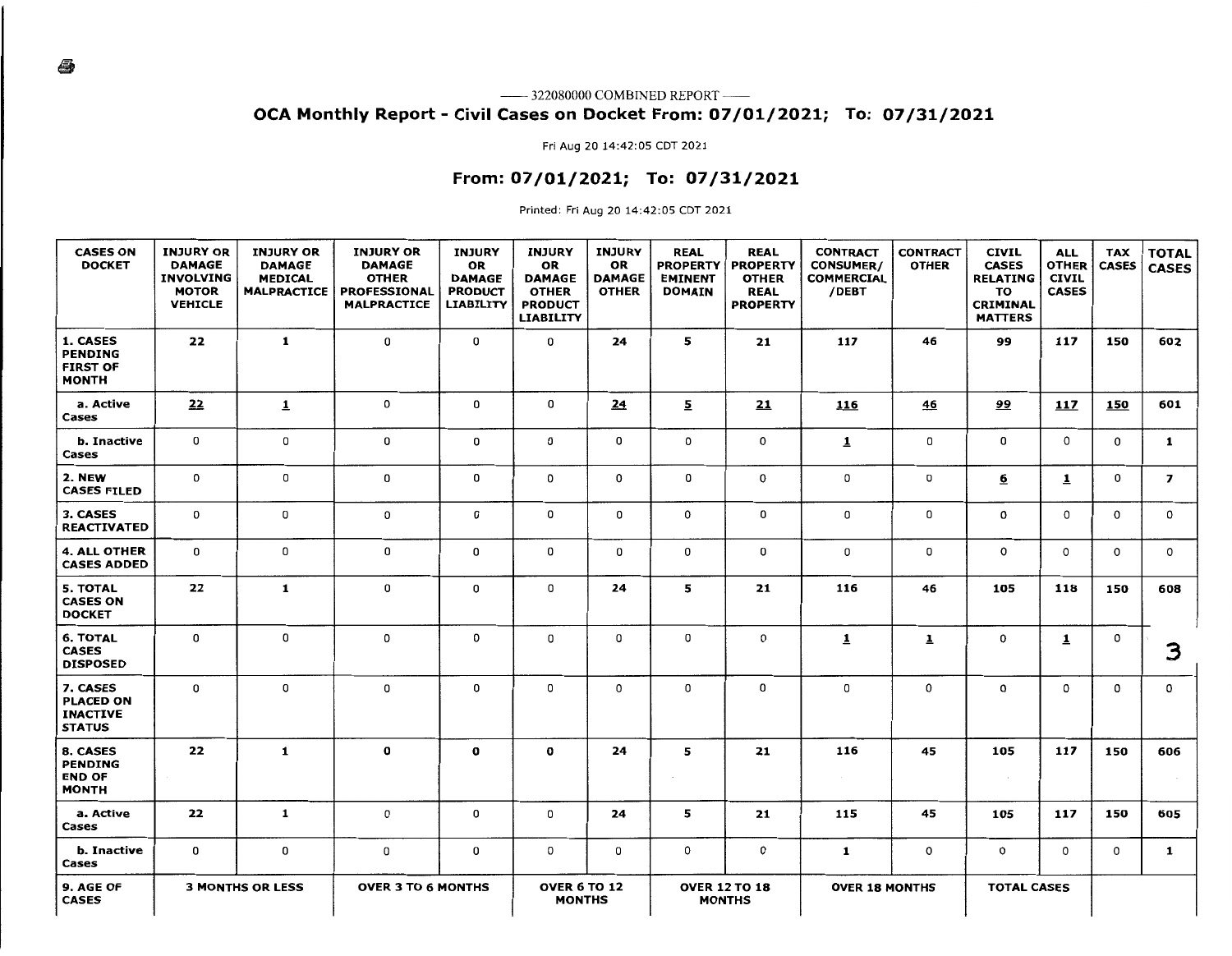—— 322080000 COMBINED REPORT ——

### **OCA Monthly Report** - **Civil Cases on Docket From: 07/01/2021; To: 07/31/2021**

Fri Aug 20 14:42:05 CDT 2021

### **From: 07/01/2021; To: 07/31/2021**

Printed: Fri Aug 20 14:42:05 CDT 2021

| <b>CASES ON</b><br><b>DOCKET</b>                                 | <b>INJURY OR</b><br><b>DAMAGE</b><br><b>INVOLVING</b><br><b>MOTOR</b><br><b>VEHICLE</b> | <b>INJURY OR</b><br><b>DAMAGE</b><br><b>MEDICAL</b><br><b>MALPRACTICE</b> | <b>INJURY OR</b><br><b>DAMAGE</b><br><b>OTHER</b><br>PROFESSIONAL<br><b>MALPRACTICE</b> | <b>INJURY</b><br>OR<br><b>DAMAGE</b><br><b>PRODUCT</b><br><b>LIABILITY</b> | <b>INJURY</b><br><b>OR</b><br><b>DAMAGE</b><br><b>OTHER</b><br><b>PRODUCT</b><br><b>LIABILITY</b> | <b>INJURY</b><br>OR<br><b>DAMAGE</b><br><b>OTHER</b> | <b>REAL</b><br><b>PROPERTY</b><br><b>EMINENT</b><br><b>DOMAIN</b> | <b>REAL</b><br><b>PROPERTY</b><br><b>OTHER</b><br><b>REAL</b><br><b>PROPERTY</b> | <b>CONTRACT</b><br><b>CONSUMER/</b><br><b>COMMERCIAL</b><br>/DEBT | <b>CONTRACT</b><br><b>OTHER</b> | <b>CIVIL</b><br><b>CASES</b><br><b>RELATING</b><br>TO<br>CRIMINAL<br><b>MATTERS</b> | <b>ALL</b><br><b>OTHER</b><br><b>CIVIL</b><br><b>CASES</b> | <b>TAX</b><br><b>CASES</b> | <b>TOTAL</b><br><b>CASES</b> |
|------------------------------------------------------------------|-----------------------------------------------------------------------------------------|---------------------------------------------------------------------------|-----------------------------------------------------------------------------------------|----------------------------------------------------------------------------|---------------------------------------------------------------------------------------------------|------------------------------------------------------|-------------------------------------------------------------------|----------------------------------------------------------------------------------|-------------------------------------------------------------------|---------------------------------|-------------------------------------------------------------------------------------|------------------------------------------------------------|----------------------------|------------------------------|
| 1. CASES<br><b>PENDING</b><br><b>FIRST OF</b><br><b>MONTH</b>    | 22                                                                                      | $\mathbf{1}$                                                              | 0                                                                                       | 0                                                                          | 0                                                                                                 | 24                                                   | 5                                                                 | 21                                                                               | 117                                                               | 46                              | 99                                                                                  | 117                                                        | 150                        | 602                          |
| a. Active<br>Cases                                               | 22                                                                                      | $\overline{\mathbf{1}}$                                                   | $\mathbf 0$                                                                             | 0                                                                          | 0                                                                                                 | 24                                                   | $\overline{2}$                                                    | 21                                                                               | 116                                                               | 46                              | <u>99</u>                                                                           | 117                                                        | 150                        | 601                          |
| b. Inactive<br>Cases                                             | 0                                                                                       | 0                                                                         | 0                                                                                       | 0                                                                          | 0                                                                                                 | 0                                                    | 0                                                                 | 0                                                                                | $\mathbf{1}$                                                      | 0                               | 0                                                                                   | 0                                                          | 0                          | $\mathbf{1}$                 |
| 2. NEW<br><b>CASES FILED</b>                                     | 0                                                                                       | 0                                                                         | 0                                                                                       | 0                                                                          | 0                                                                                                 | 0                                                    | 0                                                                 | 0                                                                                | 0                                                                 | 0                               | <u>6</u>                                                                            | $\overline{1}$                                             | $\mathbf{0}$               | $\overline{ }$               |
| 3. CASES<br><b>REACTIVATED</b>                                   | 0                                                                                       | 0                                                                         | 0                                                                                       | 0                                                                          | 0                                                                                                 | 0                                                    | 0                                                                 | 0                                                                                | 0                                                                 | 0                               | 0                                                                                   | $\mathsf{o}$                                               | $\Omega$                   | $\mathbf 0$                  |
| <b>4. ALL OTHER</b><br><b>CASES ADDED</b>                        | 0                                                                                       | 0                                                                         | $\mathbf 0$                                                                             | 0                                                                          | $\mathbf 0$                                                                                       | 0                                                    | $\mathbf{0}$                                                      | 0                                                                                | 0                                                                 | 0                               | 0                                                                                   | $\circ$                                                    | $\mathbf 0$                | 0                            |
| <b>5. TOTAL</b><br><b>CASES ON</b><br><b>DOCKET</b>              | 22                                                                                      | $\mathbf{1}$                                                              | 0                                                                                       | 0                                                                          | 0                                                                                                 | 24                                                   | 5                                                                 | 21                                                                               | 116                                                               | 46                              | 105                                                                                 | 118                                                        | 150                        | 608                          |
| <b>6. TOTAL</b><br><b>CASES</b><br><b>DISPOSED</b>               | 0                                                                                       | 0                                                                         | 0                                                                                       | 0                                                                          | 0                                                                                                 | 0                                                    | 0                                                                 | 0                                                                                | $\overline{1}$                                                    | $\overline{\mathbf{1}}$         | 0                                                                                   | $\overline{1}$                                             | 0                          | 3                            |
| 7. CASES<br><b>PLACED ON</b><br><b>INACTIVE</b><br><b>STATUS</b> | 0                                                                                       | 0                                                                         | 0                                                                                       | 0                                                                          | 0                                                                                                 | 0                                                    | 0                                                                 | 0                                                                                | 0                                                                 | 0                               | 0                                                                                   | 0                                                          | 0                          | $\mathbf{o}$                 |
| 8. CASES<br>PENDING<br><b>END OF</b><br><b>MONTH</b>             | 22                                                                                      | $\mathbf{1}$                                                              | $\bf{o}$                                                                                | 0                                                                          | $\mathbf o$                                                                                       | 24                                                   | 5                                                                 | 21                                                                               | 116                                                               | 45                              | 105<br>$\sim$                                                                       | 117                                                        | 150                        | 606                          |
| a. Active<br>Cases                                               | 22                                                                                      | $\mathbf{1}$                                                              | 0                                                                                       | 0                                                                          | 0                                                                                                 | 24                                                   | 5                                                                 | 21                                                                               | 115                                                               | 45                              | 105                                                                                 | 117                                                        | 150                        | 605                          |
| b. Inactive<br>Cases                                             | 0                                                                                       | 0                                                                         | 0                                                                                       | 0                                                                          | $\circ$                                                                                           | 0                                                    | $\mathbf{0}$                                                      | 0                                                                                | $\mathbf{1}$                                                      | 0                               | $\circ$                                                                             | 0                                                          | 0                          | $\mathbf{1}$                 |
| 9. AGE OF<br><b>CASES</b>                                        |                                                                                         | <b>3 MONTHS OR LESS</b>                                                   | <b>OVER 3 TO 6 MONTHS</b>                                                               |                                                                            | <b>OVER 6 TO 12</b><br><b>MONTHS</b>                                                              |                                                      |                                                                   | <b>OVER 12 TO 18</b><br><b>MONTHS</b>                                            | <b>OVER 18 MONTHS</b>                                             |                                 | <b>TOTAL CASES</b>                                                                  |                                                            |                            |                              |

4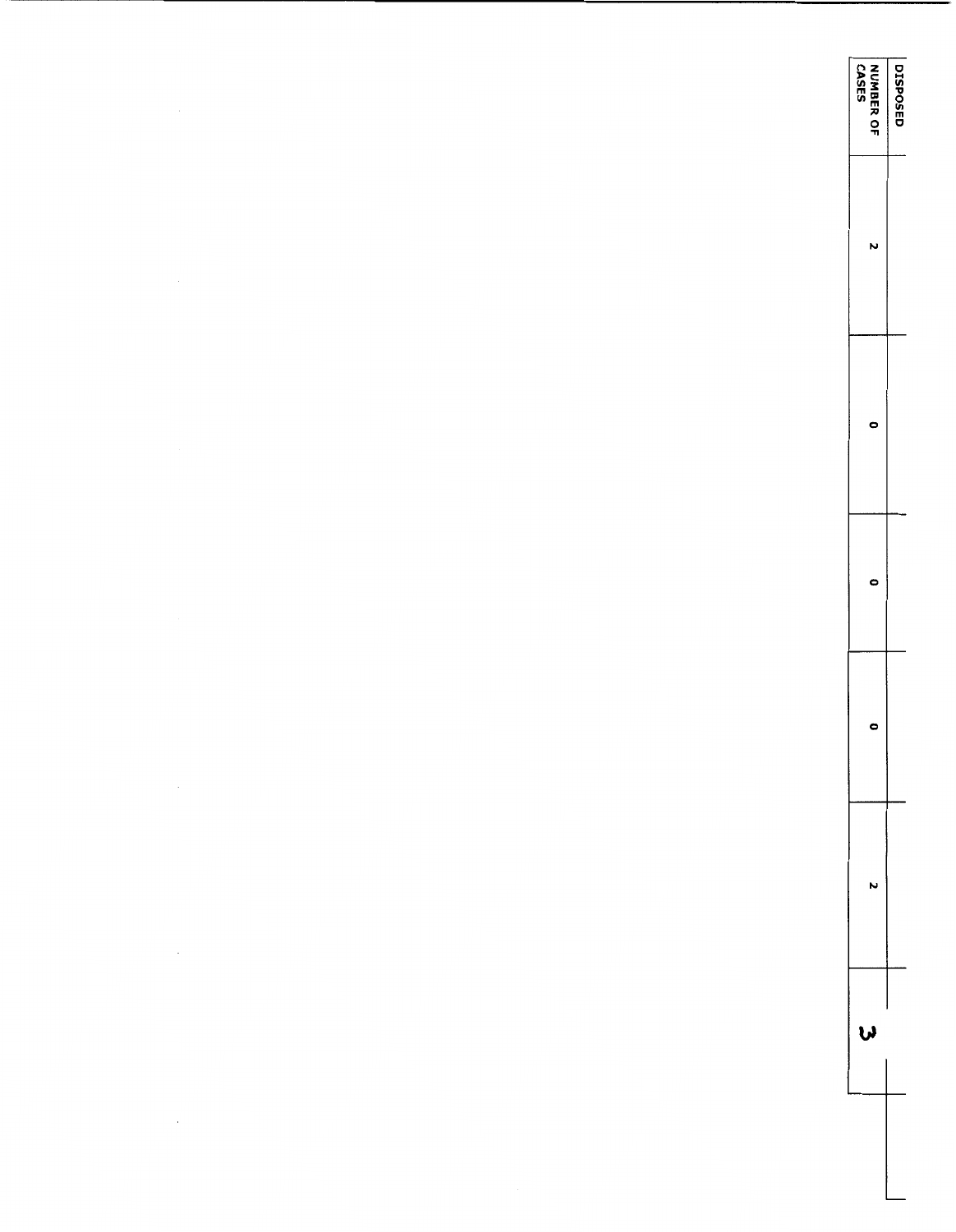| NUMBER OF<br>  CASES | <b>DISPOSE</b> |
|----------------------|----------------|
|                      |                |
|                      |                |
|                      |                |
|                      |                |
|                      |                |
|                      |                |
|                      |                |

 $\label{eq:2.1} \mathcal{L}(\mathcal{L}^{\text{c}}) = \mathcal{L}(\mathcal{L}^{\text{c}}) \mathcal{L}(\mathcal{L}^{\text{c}})$ 

 $\label{eq:2.1} \mathcal{L}(\mathcal{L}^{\text{max}}_{\mathcal{L}}(\mathcal{L}^{\text{max}}_{\mathcal{L}}),\mathcal{L}^{\text{max}}_{\mathcal{L}^{\text{max}}_{\mathcal{L}}(\mathcal{L}^{\text{max}}_{\mathcal{L}^{\text{max}}_{\mathcal{L}^{\text{max}}_{\mathcal{L}^{\text{max}}_{\mathcal{L}^{\text{max}}_{\mathcal{L}^{\text{max}}_{\mathcal{L}^{\text{max}}_{\mathcal{L}^{\text{max}}_{\mathcal{L}^{\text{max}}_{\mathcal{L}^{\text{max}}_{\mathcal{$ 

 $\sqcup$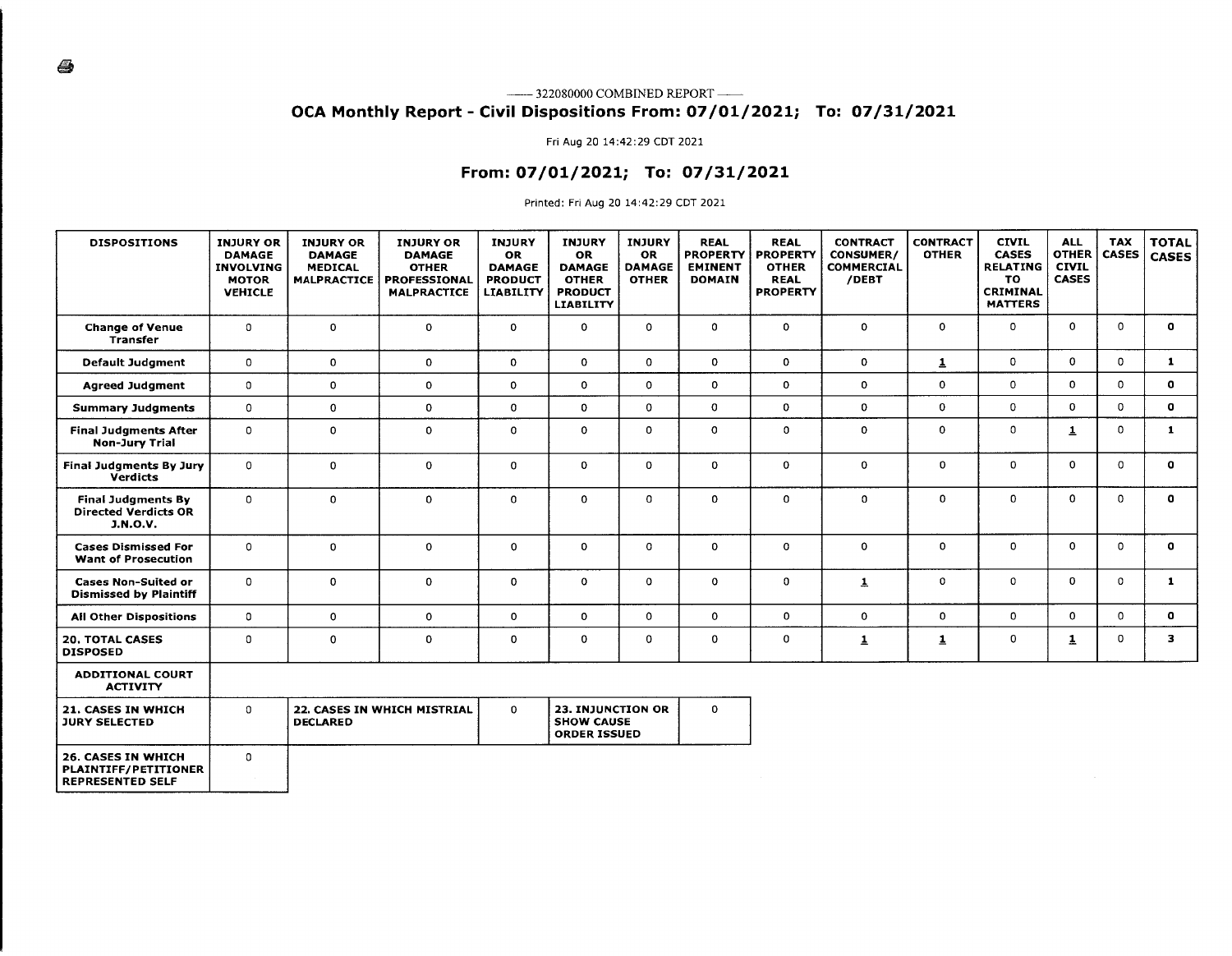### **OCA Monthly Report - Civil Dispositions From: 07/01/2021; To: 07/31/2021**

#### Fri Aug 20 14:42:29 CDT 2021

### **From: 07/01/2021; To: 07/31/2021**

Printed: Fri Aug 20 14:42:29 CDT 2021

| <b>DISPOSITIONS</b>                                                                 | <b>INJURY OR</b><br><b>DAMAGE</b><br><b>INVOLVING</b><br><b>MOTOR</b><br><b>VEHICLE</b> | <b>INJURY OR</b><br><b>DAMAGE</b><br><b>MEDICAL</b><br><b>MALPRACTICE</b> | <b>INJURY OR</b><br><b>DAMAGE</b><br><b>OTHER</b><br>PROFESSIONAL<br><b>MALPRACTICE</b> | <b>INJURY</b><br><b>OR</b><br><b>DAMAGE</b><br><b>PRODUCT</b><br><b>LIABILITY</b> | <b>INJURY</b><br><b>OR</b><br><b>DAMAGE</b><br><b>OTHER</b><br><b>PRODUCT</b><br><b>LIABILITY</b> | <b>INJURY</b><br><b>OR</b><br><b>DAMAGE</b><br><b>OTHER</b> | <b>REAL</b><br><b>PROPERTY</b><br><b>EMINENT</b><br><b>DOMAIN</b> | <b>REAL</b><br><b>PROPERTY</b><br><b>OTHER</b><br><b>REAL</b><br><b>PROPERTY</b> | <b>CONTRACT</b><br>CONSUMER/<br><b>COMMERCIAL</b><br>/DEBT | <b>CONTRACT</b><br><b>OTHER</b> | <b>CIVIL</b><br><b>CASES</b><br><b>RELATING</b><br>TO.<br>CRIMINAL<br><b>MATTERS</b> | <b>ALL</b><br><b>OTHER</b><br><b>CIVIL</b><br><b>CASES</b> | <b>TAX</b><br><b>CASES</b> | <b>TOTAL</b><br><b>CASES</b> |
|-------------------------------------------------------------------------------------|-----------------------------------------------------------------------------------------|---------------------------------------------------------------------------|-----------------------------------------------------------------------------------------|-----------------------------------------------------------------------------------|---------------------------------------------------------------------------------------------------|-------------------------------------------------------------|-------------------------------------------------------------------|----------------------------------------------------------------------------------|------------------------------------------------------------|---------------------------------|--------------------------------------------------------------------------------------|------------------------------------------------------------|----------------------------|------------------------------|
| <b>Change of Venue</b><br><b>Transfer</b>                                           | $\mathbf 0$                                                                             | 0                                                                         | 0                                                                                       | 0                                                                                 | $\mathbf 0$                                                                                       | $\mathbf 0$                                                 | 0                                                                 | 0                                                                                | $\mathbf{0}$                                               | 0                               | $\mathbf 0$                                                                          | 0                                                          | $\mathbf 0$                | $\mathbf{o}$                 |
| <b>Default Judgment</b>                                                             | $\mathbf{0}$                                                                            | 0                                                                         | 0                                                                                       | 0                                                                                 | $\mathbf 0$                                                                                       | $\Omega$                                                    | $\Omega$                                                          | $\mathbf{0}$                                                                     | $\Omega$                                                   | $\mathbf{1}$                    | 0                                                                                    | 0                                                          | $\Omega$                   | $\mathbf{1}$                 |
| <b>Agreed Judgment</b>                                                              | $\mathbf 0$                                                                             | 0                                                                         | 0                                                                                       | 0                                                                                 | $\mathbf 0$                                                                                       | $\mathbf{0}$                                                | $\Omega$                                                          | $\mathbf{0}$                                                                     | $\mathbf{0}$                                               | 0                               | 0                                                                                    | 0                                                          | $\Omega$                   | $\bullet$                    |
| <b>Summary Judgments</b>                                                            | $\mathbf 0$                                                                             | 0                                                                         | 0                                                                                       | 0                                                                                 | $\mathbf 0$                                                                                       | $\mathbf{0}$                                                | $\Omega$                                                          | 0                                                                                | $\mathbf{0}$                                               | 0                               | 0                                                                                    | $\Omega$                                                   | $\Omega$                   | $\mathbf{o}$                 |
| <b>Final Judgments After</b><br><b>Non-Jury Trial</b>                               | $\mathbf 0$                                                                             | 0                                                                         | $\circ$                                                                                 | 0                                                                                 | $\mathbf 0$                                                                                       | 0                                                           | $\mathbf 0$                                                       | 0                                                                                | 0                                                          | 0                               | $\mathbf 0$                                                                          | $\mathbf{1}$                                               | $\mathbf 0$                | $\mathbf{1}$                 |
| <b>Final Judgments By Jury</b><br><b>Verdicts</b>                                   | $\mathbf 0$                                                                             | 0                                                                         | 0                                                                                       | 0                                                                                 | $\mathbf{0}$                                                                                      | 0                                                           | 0                                                                 | $\Omega$                                                                         | $\mathbf 0$                                                | 0                               | $\Omega$                                                                             | 0                                                          | $\Omega$                   | $\Omega$                     |
| <b>Final Judgments By</b><br><b>Directed Verdicts OR</b><br><b>J.N.O.V.</b>         | $\mathbf 0$                                                                             | 0                                                                         | 0                                                                                       | 0                                                                                 | $\mathbf 0$                                                                                       | 0                                                           | 0                                                                 | 0                                                                                | 0                                                          | 0                               | $\circ$                                                                              | $\mathbf 0$                                                | $\Omega$                   | $\mathbf{o}$                 |
| <b>Cases Dismissed For</b><br><b>Want of Prosecution</b>                            | $\mathbf 0$                                                                             | 0                                                                         | 0                                                                                       | 0                                                                                 | $\mathbf 0$                                                                                       | $\mathbf 0$                                                 | 0                                                                 | $\Omega$                                                                         | $\mathbf 0$                                                | 0                               | $\Omega$                                                                             | 0                                                          | $\mathbf{O}$               | $\mathbf{o}$                 |
| <b>Cases Non-Suited or</b><br><b>Dismissed by Plaintiff</b>                         | $\mathbf 0$                                                                             | 0                                                                         | 0                                                                                       | 0                                                                                 | $\mathbf 0$                                                                                       | $\Omega$                                                    | $\Omega$                                                          | 0                                                                                | $\mathbf{1}$                                               | 0                               | $\mathbf 0$                                                                          | 0                                                          | $\Omega$                   | $\mathbf{1}$                 |
| <b>All Other Dispositions</b>                                                       | $\mathbf{0}$                                                                            | $\mathbf{0}$                                                              | $\mathbf 0$                                                                             | 0                                                                                 | $\mathbf 0$                                                                                       | $\mathbf{0}$                                                | 0                                                                 | 0                                                                                | $\mathbf 0$                                                | 0                               | $\mathbf{0}$                                                                         | 0                                                          | $\Omega$                   | $\mathbf{o}$                 |
| <b>20. TOTAL CASES</b><br><b>DISPOSED</b>                                           | $\mathbf 0$                                                                             | 0                                                                         | 0                                                                                       | 0                                                                                 | $\mathbf 0$                                                                                       | 0                                                           | $\mathbf 0$                                                       | 0                                                                                | $\overline{1}$                                             | 1                               | $\mathbf 0$                                                                          | $\overline{\mathbf{1}}$                                    | $\mathbf 0$                | 3                            |
| <b>ADDITIONAL COURT</b><br><b>ACTIVITY</b>                                          |                                                                                         |                                                                           |                                                                                         |                                                                                   |                                                                                                   |                                                             |                                                                   |                                                                                  |                                                            |                                 |                                                                                      |                                                            |                            |                              |
| 21. CASES IN WHICH<br><b>JURY SELECTED</b>                                          | $\mathbf{0}$                                                                            | <b>DECLARED</b>                                                           | 22. CASES IN WHICH MISTRIAL                                                             | 0                                                                                 | 23. INJUNCTION OR<br><b>SHOW CAUSE</b><br><b>ORDER ISSUED</b>                                     |                                                             | 0                                                                 |                                                                                  |                                                            |                                 |                                                                                      |                                                            |                            |                              |
| <b>26. CASES IN WHICH</b><br><b>PLAINTIFF/PETITIONER</b><br><b>REPRESENTED SELF</b> | $\mathbf 0$                                                                             |                                                                           |                                                                                         |                                                                                   |                                                                                                   |                                                             |                                                                   |                                                                                  |                                                            |                                 |                                                                                      |                                                            |                            |                              |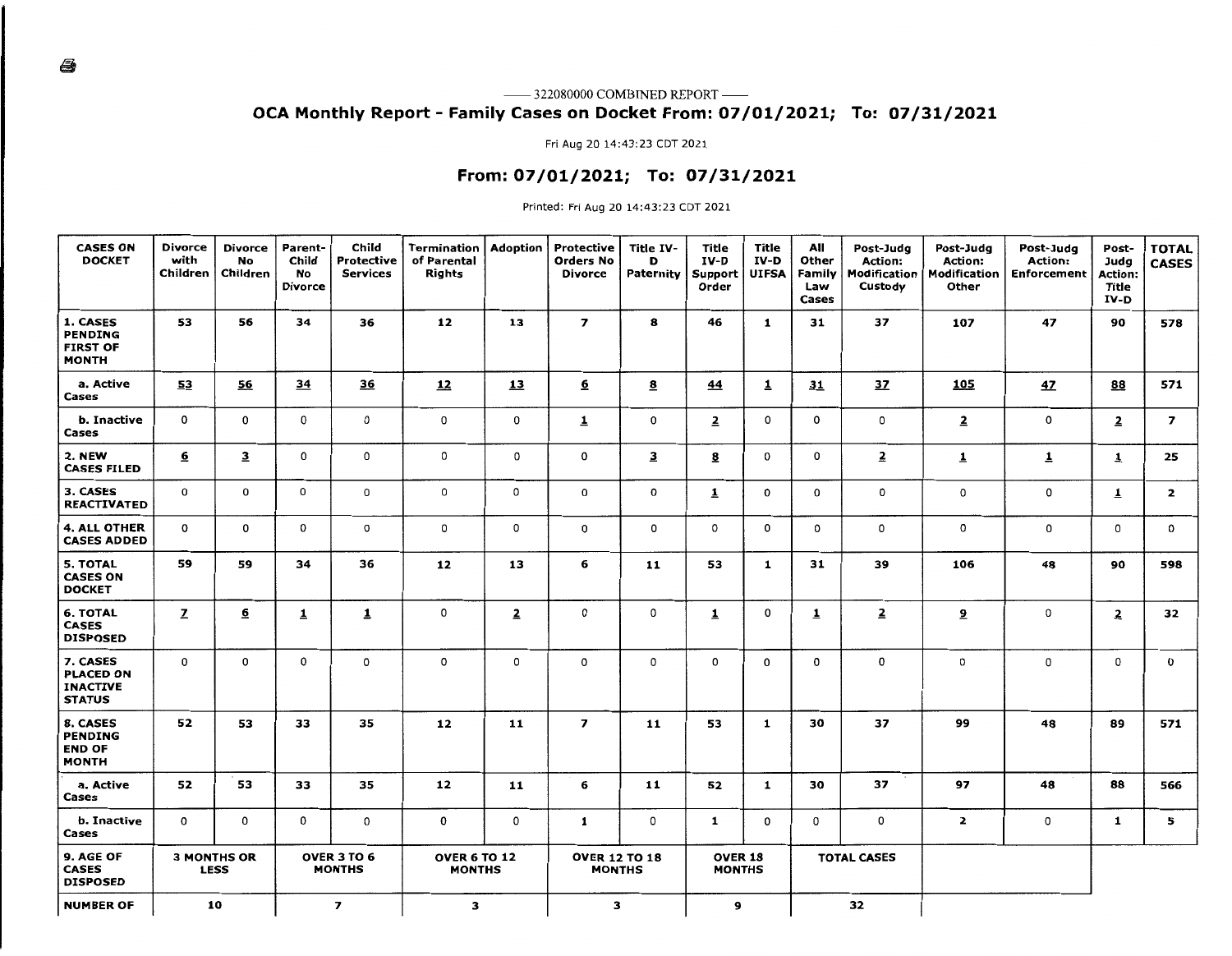### —— 322080000 COMBINED REPORT —— OCA Monthly Report - Family Cases on Docket From: 07/01/2021; To: 07/31/2021

Fri Aug 20 14:43:23 CDT 2021

### From: 07/01/2021; To: 07/31/2021

Printed: Fri Aug 20 14:43:23 CDT 2021

| <b>CASES ON</b><br><b>DOCKET</b>                                 | <b>Divorce</b><br>with<br>Children | <b>Divorce</b><br><b>No</b><br>Children | Parent-<br>Child<br><b>No</b><br><b>Divorce</b> | Child<br><b>Protective</b><br><b>Services</b> | Termination<br>of Parental<br>Rights | <b>Adoption</b> | Protective<br><b>Orders No</b><br><b>Divorce</b> | Title IV-<br>D<br>Paternity | Title<br>IV-D<br>Support<br>Order | Title<br>IV-D<br><b>UIFSA</b> | All<br>Other<br>Family<br>Law<br>Cases | Post-Judg<br>Action:<br>Modification<br>Custody | Post-Judg<br><b>Action:</b><br><b>Modification</b><br>Other | Post-Judg<br>Action:<br><b>Enforcement</b> | Post-<br>Judg<br><b>Action:</b><br>Title<br>IV-D | <b>TOTAL</b><br><b>CASES</b> |
|------------------------------------------------------------------|------------------------------------|-----------------------------------------|-------------------------------------------------|-----------------------------------------------|--------------------------------------|-----------------|--------------------------------------------------|-----------------------------|-----------------------------------|-------------------------------|----------------------------------------|-------------------------------------------------|-------------------------------------------------------------|--------------------------------------------|--------------------------------------------------|------------------------------|
| 1. CASES<br><b>PENDING</b><br><b>FIRST OF</b><br><b>MONTH</b>    | 53                                 | 56                                      | 34                                              | 36                                            | 12                                   | 13              | $\overline{\mathbf{z}}$                          | 8                           | 46                                | $\mathbf{1}$                  | 31                                     | 37                                              | 107                                                         | 47                                         | 90                                               | 578                          |
| a. Active<br>Cases                                               | 53                                 | 56                                      | 34                                              | 36                                            | 12                                   | 13              | ₫                                                | $\underline{\mathbf{8}}$    | 44                                | $\overline{\mathbf{1}}$       | 31                                     | 37                                              | 105                                                         | 47                                         | 88                                               | 571                          |
| b. Inactive<br>Cases                                             | 0                                  | $\mathsf{o}\,$                          | 0                                               | 0                                             | 0                                    | 0               | $\overline{1}$                                   | 0                           | $\overline{2}$                    | 0                             | $\circ$                                | 0                                               | $\overline{2}$                                              | 0                                          | $\overline{2}$                                   | $\overline{\mathbf{z}}$      |
| 2. NEW<br><b>CASES FILED</b>                                     | $6 \overline{6}$                   | $\overline{3}$                          | 0                                               | $\mathsf{o}\,$                                | 0                                    | 0               | 0                                                | 3                           | 8                                 | 0                             | $\mathbf 0$                            | $\overline{2}$                                  | $\overline{\mathbf{1}}$                                     | 1                                          | $\overline{\mathbf{1}}$                          | 25                           |
| 3. CASES<br><b>REACTIVATED</b>                                   | 0                                  | 0                                       | $\mathbf 0$                                     | $\mathbf 0$                                   | 0                                    | 0               | 0                                                | $\mathbf 0$                 | $\overline{1}$                    | 0                             | $\mathbf 0$                            | 0                                               | 0                                                           | 0                                          | 1                                                | $\mathbf{z}$                 |
| <b>4. ALL OTHER</b><br><b>CASES ADDED</b>                        | 0                                  | 0                                       | 0                                               | 0                                             | 0                                    | 0               | 0                                                | 0                           | 0                                 | 0                             | 0                                      | 0                                               | 0                                                           | 0                                          | 0                                                | 0                            |
| 5. TOTAL<br><b>CASES ON</b><br><b>DOCKET</b>                     | 59                                 | 59                                      | 34                                              | 36                                            | 12                                   | 13              | 6                                                | 11                          | 53                                | 1                             | 31                                     | 39                                              | 106                                                         | 48                                         | 90                                               | 598                          |
| <b>6. TOTAL</b><br><b>CASES</b><br><b>DISPOSED</b>               | $\mathbf{Z}$                       | $6 \overline{6}$                        | $\overline{\mathbf{1}}$                         | $\mathbf{1}$                                  | 0                                    | $\overline{2}$  | 0                                                | 0                           | $\overline{\mathbf{1}}$           | 0                             | $\overline{1}$                         | $\overline{2}$                                  | 2                                                           | 0                                          | $\overline{2}$                                   | 32                           |
| 7. CASES<br><b>PLACED ON</b><br><b>INACTIVE</b><br><b>STATUS</b> | 0                                  | 0                                       | 0                                               | 0                                             | 0                                    | 0               | o                                                | 0                           | 0                                 | 0                             | 0                                      | 0                                               | 0                                                           | 0                                          | 0                                                | 0                            |
| 8. CASES<br><b>PENDING</b><br><b>END OF</b><br><b>MONTH</b>      | 52                                 | 53                                      | 33                                              | 35                                            | 12                                   | 11              | $\overline{\mathbf{z}}$                          | 11                          | 53                                | 1                             | 30                                     | 37                                              | 99                                                          | 48                                         | 89                                               | 571                          |
| a. Active<br>Cases                                               | 52                                 | 53                                      | 33                                              | 35                                            | 12                                   | 11              | 6                                                | 11                          | 52                                | 1                             | 30                                     | 37                                              | 97                                                          | 48                                         | 88                                               | 566                          |
| b. Inactive<br>Cases                                             | 0                                  | 0                                       | 0                                               | 0                                             | 0                                    | 0               | $\mathbf{1}$                                     | 0                           | $\mathbf{1}$                      | 0                             | 0                                      | 0                                               | $\overline{2}$                                              | 0                                          | 1                                                | 5                            |
| 9. AGE OF<br><b>CASES</b><br><b>DISPOSED</b>                     |                                    | <b>3 MONTHS OR</b><br><b>LESS</b>       |                                                 | OVER 3 TO 6<br><b>MONTHS</b>                  | <b>OVER 6 TO 12</b><br><b>MONTHS</b> |                 | <b>OVER 12 TO 18</b><br><b>MONTHS</b>            |                             | <b>OVER 18</b><br><b>MONTHS</b>   |                               |                                        | <b>TOTAL CASES</b>                              |                                                             |                                            |                                                  |                              |
| <b>NUMBER OF</b>                                                 |                                    | 10                                      |                                                 | $\overline{z}$                                | з                                    |                 | 3                                                |                             | 9                                 |                               |                                        | 32                                              |                                                             |                                            |                                                  |                              |

4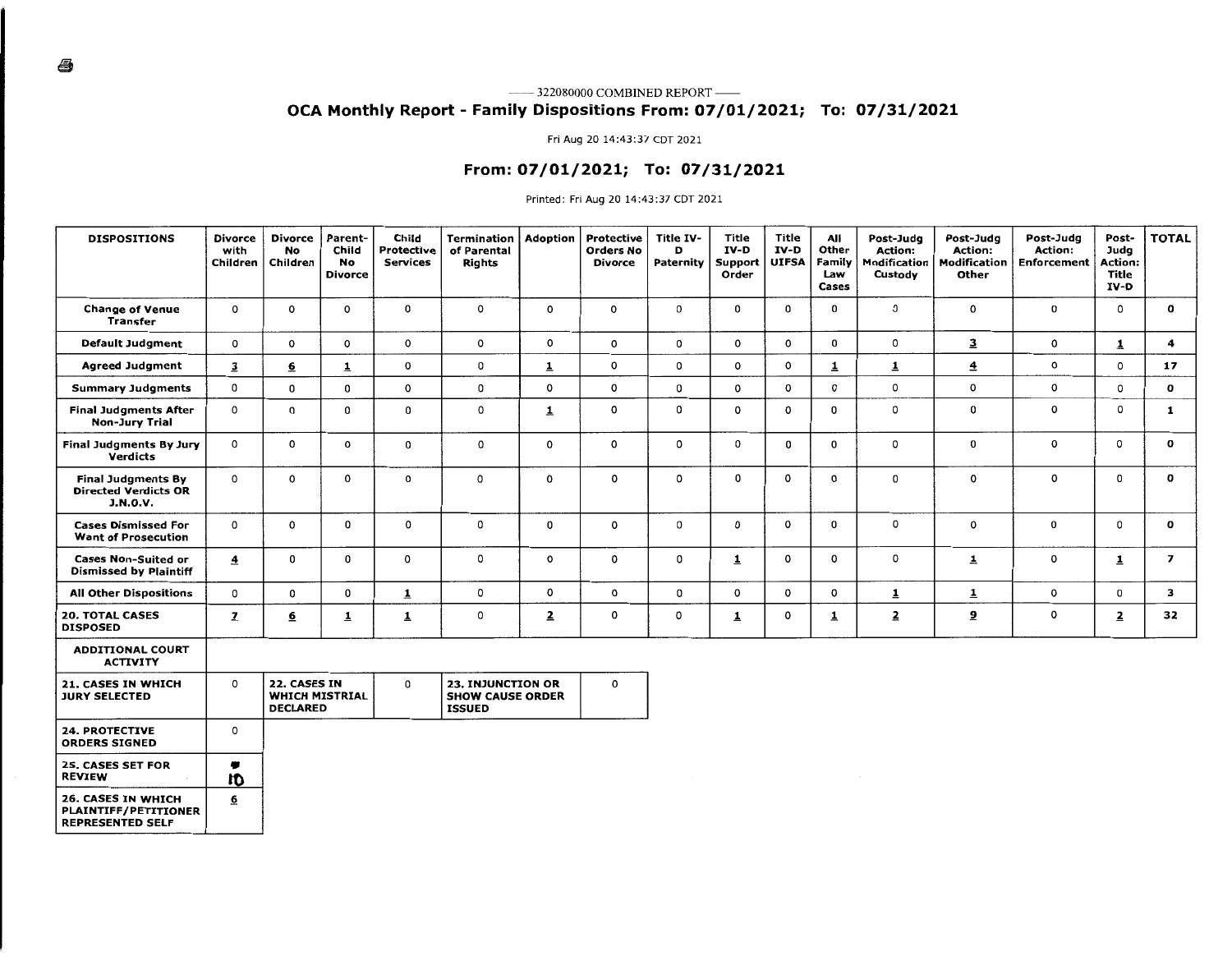### **OCA Monthly Report - Family Dispositions From: 07/01/2021; To: 07/31/2021**

#### Fri Aug 20 14:43:37 CDT 2021

### **From: 07/01/2021; To: 07/31/2021**

Printed: Fri Aug 20 14:43:37 CDT 2021

| <b>DISPOSITIONS</b>                                                                 | <b>Divorce</b><br>with<br>Children | Divorce<br>No<br>Children       | Parent-<br>Child<br>No<br><b>Divorce</b> | Child<br><b>Protective</b><br><b>Services</b> | Termination<br>of Parental<br><b>Rights</b>                   | <b>Adoption</b>         | Protective<br><b>Orders No</b><br>Divorce | Title IV-<br>D<br>Paternity | <b>Title</b><br>IV-D<br>Support<br>Order | Title<br>IV-D<br><b>UIFSA</b> | All<br>Other<br>Family<br>Law<br>Cases | Post-Judg<br><b>Action:</b><br>Modification<br>Custody | Post-Judg<br><b>Action:</b><br>Modification<br>Other | Post-Judg<br>Action:<br><b>Enforcement</b> | Post-<br>Juda<br>Action:<br>Title<br>IV-D | <b>TOTAL</b>            |
|-------------------------------------------------------------------------------------|------------------------------------|---------------------------------|------------------------------------------|-----------------------------------------------|---------------------------------------------------------------|-------------------------|-------------------------------------------|-----------------------------|------------------------------------------|-------------------------------|----------------------------------------|--------------------------------------------------------|------------------------------------------------------|--------------------------------------------|-------------------------------------------|-------------------------|
| <b>Change of Venue</b><br><b>Transfer</b>                                           | 0                                  | $\circ$                         | 0                                        | 0                                             | 0                                                             | $\mathsf{o}$            | $\circ$                                   | 0                           | 0                                        | 0                             | 0                                      | 0                                                      | $\mathbf{o}$                                         | 0                                          | $\circ$                                   | $\mathbf o$             |
| <b>Default Judgment</b>                                                             | $\mathbf{o}$                       | 0                               | $\mathbf 0$                              | $\mathbf{o}$                                  | 0                                                             | $\mathsf{o}$            | $\mathsf{o}\,$                            | 0                           | 0                                        | 0                             | 0                                      | 0                                                      | $\overline{\mathbf{3}}$                              | $\circ$                                    | $\overline{1}$                            | $\overline{\mathbf{4}}$ |
| <b>Agreed Judgment</b>                                                              | $\overline{\mathbf{3}}$            | <u>6</u>                        | $\overline{\mathbf{1}}$                  | 0                                             | 0                                                             | $\overline{1}$          | $\mathsf{o}$                              | 0                           | $\circ$                                  | 0                             | $\overline{\mathbf{1}}$                | 1                                                      | $\overline{\mathbf{4}}$                              | 0                                          | $\mathbf 0$                               | 17                      |
| <b>Summary Judgments</b>                                                            | 0                                  | 0                               | 0                                        | 0                                             | 0                                                             | $\mathsf{o}\,$          | $\mathsf{o}\,$                            | 0                           | $\mathsf{o}$                             | 0                             | 0                                      | 0                                                      | $\circ$                                              | 0                                          | $\circ$                                   | 0                       |
| <b>Final Judgments After</b><br><b>Non-Jury Trial</b>                               | 0                                  | $\Omega$                        | 0                                        | 0                                             | 0                                                             | $\overline{\mathbf{1}}$ | 0                                         | 0                           | 0                                        | 0                             | 0                                      | 0                                                      | 0                                                    | o                                          | $\circ$                                   | 1                       |
| Final Judgments By Jury<br><b>Verdicts</b>                                          | 0                                  | $\mathbf 0$                     | 0                                        | 0                                             | 0                                                             | $\mathbf 0$             | $\mathbf 0$                               | 0                           | $\Omega$                                 | 0                             | $\mathbf 0$                            | 0                                                      | $\mathbf 0$                                          | 0                                          | $\circ$                                   | 0                       |
| <b>Final Judgments By</b><br><b>Directed Verdicts OR</b><br><b>J.N.O.V.</b>         | 0                                  | $\mathbf 0$                     | 0                                        | 0                                             | 0                                                             | 0                       | 0                                         | $\circ$                     | 0                                        | 0                             | 0                                      | 0                                                      | 0                                                    | 0                                          | $\mathbf 0$                               | 0                       |
| <b>Cases Dismissed For</b><br><b>Want of Prosecution</b>                            | $\mathbf{o}$                       | $\mathbf 0$                     | 0                                        | $\mathbf 0$                                   | 0                                                             | 0                       | 0                                         | 0                           | 0                                        | 0                             | 0                                      | 0                                                      | $\mathsf{o}$                                         | 0                                          | 0                                         | 0                       |
| <b>Cases Non-Suited or</b><br><b>Dismissed by Plaintiff</b>                         | $\overline{\mathbf{4}}$            | 0                               | 0                                        | $\Omega$                                      | 0                                                             | 0                       | 0                                         | 0                           | $\overline{1}$                           | 0                             | 0                                      | 0                                                      | $\mathbf{1}$                                         | 0                                          | $\overline{1}$                            | $\overline{z}$          |
| <b>All Other Dispositions</b>                                                       | 0                                  | 0                               | 0                                        | $\overline{1}$                                | 0                                                             | 0                       | 0                                         | 0                           | 0                                        | 0                             | $\mathbf{o}$                           | 1                                                      | $\mathbf{1}$                                         | 0                                          | $\mathbf 0$                               | 3                       |
| <b>20. TOTAL CASES</b><br><b>DISPOSED</b>                                           | $\mathbf{z}$                       | $\underline{6}$                 | $\overline{\mathbf{1}}$                  | $\overline{1}$                                | 0                                                             | $\overline{2}$          | o                                         | 0                           | $\overline{1}$                           | 0                             | 1                                      | $\overline{\mathbf{z}}$                                | $\overline{\mathbf{5}}$                              | 0                                          | $\overline{\mathbf{z}}$                   | 32                      |
| <b>ADDITIONAL COURT</b><br><b>ACTIVITY</b>                                          |                                    |                                 |                                          |                                               |                                                               |                         |                                           |                             |                                          |                               |                                        |                                                        |                                                      |                                            |                                           |                         |
| 21. CASES IN WHICH<br><b>JURY SELECTED</b>                                          | $\mathbf{o}$                       | 22. CASES IN<br><b>DECLARED</b> | <b>WHICH MISTRIAL</b>                    | 0                                             | 23. INJUNCTION OR<br><b>SHOW CAUSE ORDER</b><br><b>ISSUED</b> |                         | $\circ$                                   |                             |                                          |                               |                                        |                                                        |                                                      |                                            |                                           |                         |
| <b>24. PROTECTIVE</b><br><b>ORDERS SIGNED</b>                                       | 0                                  |                                 |                                          |                                               |                                                               |                         |                                           |                             |                                          |                               |                                        |                                                        |                                                      |                                            |                                           |                         |
| <b>25. CASES SET FOR</b><br><b>REVIEW</b>                                           | ۰<br><b>ID</b>                     |                                 |                                          |                                               |                                                               |                         |                                           |                             |                                          |                               |                                        |                                                        |                                                      |                                            |                                           |                         |
| <b>26. CASES IN WHICH</b><br><b>PLAINTIFF/PETITIONER</b><br><b>REPRESENTED SELF</b> | $\underline{6}$                    |                                 |                                          |                                               |                                                               |                         |                                           |                             |                                          |                               |                                        |                                                        |                                                      |                                            |                                           |                         |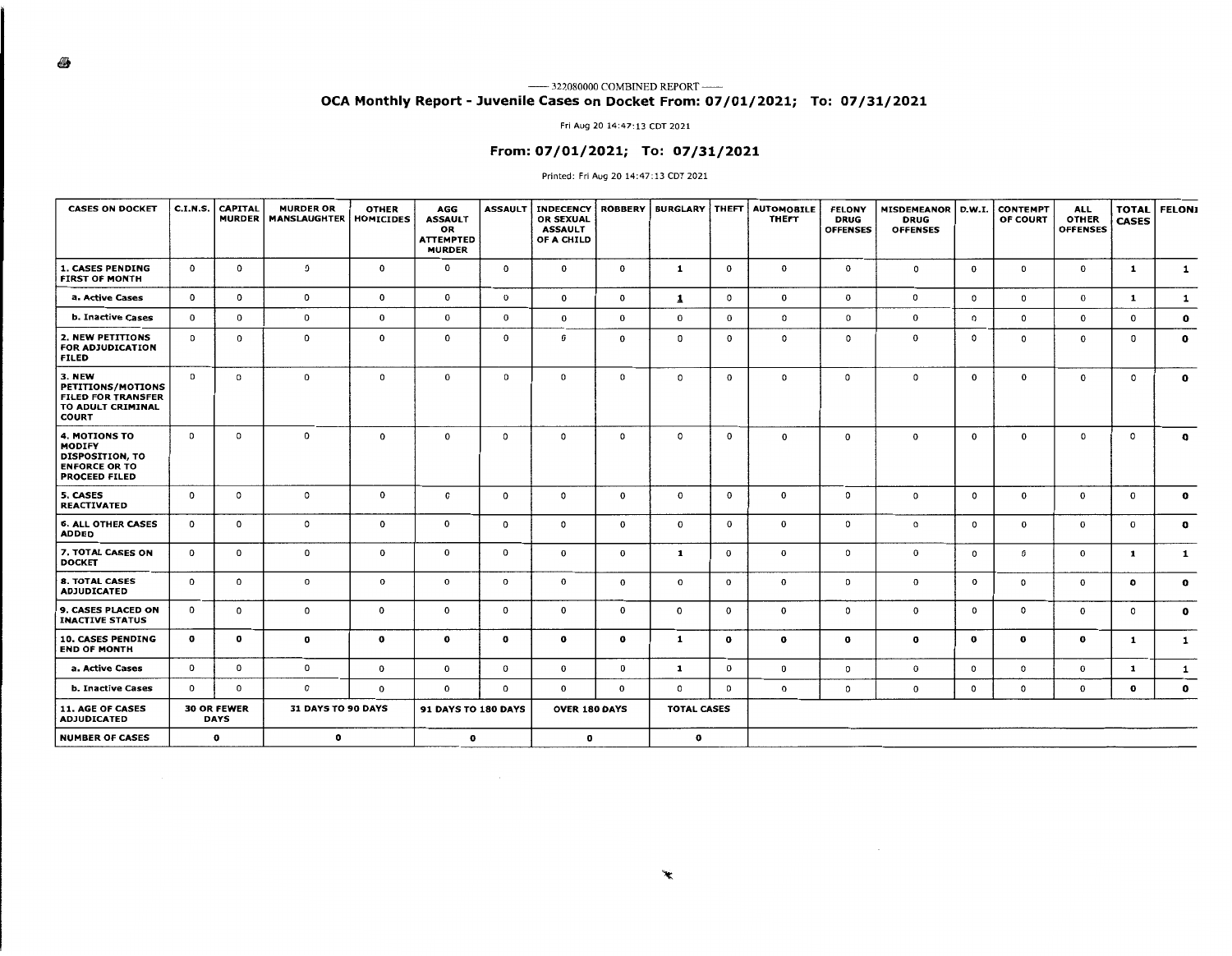#### 6

#### —— 322080000 COMBINED REPORT —— **OCA Monthly Report** - **Juvenile Cases on Docket From: 07/01/2021; To: 07/31/2021**

#### Fri Aug 20 14:47: 13 CDT 2021

### **From: 07/01/2021; To: 07/31/2021**

#### Printed: Fri Aug 20 14:47:13 CDT 2021

| <b>CASES ON DOCKET</b>                                                                                          | <b>C.I.N.S.</b> | <b>CAPITAL</b><br><b>MURDER</b>   | <b>MURDER OR</b><br><b>MANSLAUGHTER</b> | <b>OTHER</b><br><b>HOMICIDES</b> | AGG<br><b>ASSAULT</b><br>OR<br><b>ATTEMPTED</b><br><b>MURDER</b> | <b>ASSAULT</b> | <b>INDECENCY</b><br><b>OR SEXUAL</b><br><b>ASSAULT</b><br>OF A CHILD | <b>ROBBERY</b> | <b>BURGLARY   THEFT</b> |              | <b>AUTOMOBILE</b><br><b>THEFT</b> | <b>FELONY</b><br><b>DRUG</b><br><b>OFFENSES</b> | MISDEMEANOR   D.W.I.<br><b>DRUG</b><br><b>OFFENSES</b> |              | <b>CONTEMPT</b><br>OF COURT | <b>ALL</b><br><b>OTHER</b><br><b>OFFENSES</b> | <b>TOTAL</b><br><b>CASES</b> | <b>FELONI</b> |
|-----------------------------------------------------------------------------------------------------------------|-----------------|-----------------------------------|-----------------------------------------|----------------------------------|------------------------------------------------------------------|----------------|----------------------------------------------------------------------|----------------|-------------------------|--------------|-----------------------------------|-------------------------------------------------|--------------------------------------------------------|--------------|-----------------------------|-----------------------------------------------|------------------------------|---------------|
| <b>1. CASES PENDING</b><br><b>FIRST OF MONTH</b>                                                                | $\mathbf 0$     | $\mathbf{o}$                      | 0                                       | $\mathbf 0$                      | $\mathbf 0$                                                      | $\mathbf 0$    | $\mathbf{o}$                                                         | $\mathbf{o}$   | $\mathbf{1}$            | $\mathbf{0}$ | $\mathbf 0$                       | $\mathbf{o}$                                    | $\circ$                                                | $\mathbf{0}$ | $\circ$                     | $\mathbf 0$                                   | 1                            | $\mathbf{1}$  |
| a. Active Cases                                                                                                 | $\mathbf{0}$    | $\mathbf{0}$                      | 0                                       | $\mathbf 0$                      | $\mathbf{0}$                                                     | $\mathbf 0$    | $\mathbf{o}$                                                         | $\circ$        | $\mathbf{1}$            | $\circ$      | $\mathbf 0$                       | $\mathbf{o}$                                    | 0                                                      | $\circ$      | $\circ$                     | $\mathbf{o}$                                  | 1                            | 1             |
| <b>b. Inactive Cases</b>                                                                                        | $\Omega$        | $\mathbf{o}$                      | 0                                       | 0                                | $\mathbf 0$                                                      | 0              | 0                                                                    | $\mathbf{o}$   | $\mathbf{0}$            | $\mathbf{o}$ | $\circ$                           | 0                                               | 0                                                      | $\circ$      | $\circ$                     | $\mathbf 0$                                   | $\mathbf{0}$                 | $\mathbf{o}$  |
| 2. NEW PETITIONS<br><b>FOR ADJUDICATION</b><br><b>FILED</b>                                                     | $\Omega$        | 0                                 | 0                                       | 0                                | $\mathbf 0$                                                      | 0              | 0                                                                    | $\mathbf 0$    | $\mathbf{0}$            | $\mathbf{o}$ | $\circ$                           | $\circ$                                         | 0                                                      | $\circ$      | $\circ$                     | $\mathbf{0}$                                  | 0                            | $\mathbf{o}$  |
| <b>3. NEW</b><br><b>PETITIONS/MOTIONS</b><br><b>FILED FOR TRANSFER</b><br>TO ADULT CRIMINAL<br><b>COURT</b>     | $\circ$         | $\mathbf{o}$                      | 0                                       | $\circ$                          | $\mathbf 0$                                                      | 0              | 0                                                                    | $\circ$        | $\circ$                 | 0            | $\circ$                           | 0                                               | 0                                                      | $\mathbf{0}$ | $\mathbf 0$                 | $\mathbf{o}$                                  | 0                            | $\mathbf{o}$  |
| <b>4. MOTIONS TO</b><br><b>MODIFY</b><br><b>DISPOSITION, TO</b><br><b>ENFORCE OR TO</b><br><b>PROCEED FILED</b> | $\mathbf 0$     | 0                                 | 0                                       | $\mathbf 0$                      | $\mathbf 0$                                                      | 0              | $\circ$                                                              | $\circ$        | $\mathbf 0$             | 0            | $\mathbf 0$                       | $\mathbf{o}$                                    | $\mathbf 0$                                            | $\mathbf{0}$ | $\Omega$                    | $\circ$                                       | 0                            | $\mathbf{o}$  |
| 5. CASES<br><b>REACTIVATED</b>                                                                                  | 0               | 0                                 | 0                                       | $\mathbf{o}$                     | $\mathbf 0$                                                      | 0              | $\circ$                                                              | $\mathbf{0}$   | $\mathbf{o}$            | $\mathbf{o}$ | $\mathbf 0$                       | 0                                               | 0                                                      | $\circ$      | $\mathbf 0$                 | $\mathbf{0}$                                  | $\mathbf{o}$                 | $\mathbf{o}$  |
| <b>6. ALL OTHER CASES</b><br><b>ADDED</b>                                                                       | $\mathbf{o}$    | $\mathbf{o}$                      | 0                                       | $\mathbf{0}$                     | $\mathbf 0$                                                      | $\mathbf{o}$   | 0                                                                    | $\mathbf{0}$   | $\mathbf{0}$            | $\mathbf{o}$ | $\mathbf 0$                       | $\circ$                                         | 0                                                      | $\circ$      | $\mathbf{0}$                | $\mathbf{0}$                                  | 0                            | $\mathbf{o}$  |
| 7. TOTAL CASES ON<br><b>DOCKET</b>                                                                              | $^{\circ}$      | $\mathbf{o}$                      | 0                                       | $\mathbf 0$                      | $\mathbf{0}$                                                     | $\mathbf{o}$   | $\mathbf{0}$                                                         | $\mathbf 0$    | $\mathbf{1}$            | 0            | $\mathbf 0$                       | $\circ$                                         | $\mathbf 0$                                            | 0            | $\circ$                     | $\mathbf{0}$                                  | 1                            | 1             |
| <b>8. TOTAL CASES</b><br><b>ADJUDICATED</b>                                                                     | 0               | $\mathbf{o}$                      | $\mathbf 0$                             | $\mathbf{o}$                     | $\mathbf{o}$                                                     | $\mathbf{o}$   | $\mathbf 0$                                                          | $\mathbf{o}$   | $\mathbf 0$             | $\mathbf{o}$ | $\mathbf{o}$                      | $\circ$                                         | $\mathbf 0$                                            | $\mathbf{o}$ | $\mathsf{o}\,$              | $\mathbf{o}$                                  | $\mathbf{o}$                 | $\mathbf{o}$  |
| 9. CASES PLACED ON<br><b>INACTIVE STATUS</b>                                                                    | 0               | $\mathbf{o}$                      | 0                                       | $\mathbf{o}$                     | $\mathbf{o}$                                                     | 0              | $\mathbf 0$                                                          | $\mathbf{o}$   | $\mathbf{o}$            | $\mathbf{o}$ | $\mathbf 0$                       | $\circ$                                         | $\mathbf 0$                                            | 0            | $\circ$                     | $\mathbf 0$                                   | $\mathbf 0$                  | $\mathbf{o}$  |
| <b>10. CASES PENDING</b><br><b>END OF MONTH</b>                                                                 | $\mathbf{o}$    | $\mathbf{o}$                      | 0                                       | $\mathbf{o}$                     | $\mathbf{o}$                                                     | $\mathbf{o}$   | $\mathbf{o}$                                                         | $\mathbf{o}$   | 1                       | $\mathbf{o}$ | $\mathbf{o}$                      | $\mathbf{o}$                                    | 0                                                      | $\mathbf{o}$ | $\mathbf{o}$                | $\mathbf{o}$                                  | 1                            | $\mathbf{1}$  |
| a. Active Cases                                                                                                 | $\mathbf{o}$    | $\mathbf{o}$                      | $\mathbf 0$                             | $\mathbf{o}$                     | $\mathbf{o}$                                                     | $\mathbf{o}$   | $\mathbf{0}$                                                         | 0              | $\mathbf{1}$            | $\mathbf 0$  | 0                                 | $\circ$                                         | 0                                                      | $\mathbf 0$  | $\circ$                     | 0                                             | $\mathbf{1}$                 | 1             |
| <b>b. Inactive Cases</b>                                                                                        | $\mathbf{o}$    | $\mathbf{o}$                      | $\mathbf{o}$                            | $\mathbf{o}$                     | $\mathbf{o}$                                                     | 0              | $\mathbf{0}$                                                         | $\mathbf{0}$   | $\circ$                 | 0            | $\mathbf{o}$                      | $\circ$                                         | $\mathbf 0$                                            | 0            | $\circ$                     | 0                                             | $\mathbf{o}$                 | $\mathbf{o}$  |
| <b>11. AGE OF CASES</b><br><b>ADJUDICATED</b>                                                                   |                 | <b>30 OR FEWER</b><br><b>DAYS</b> | 31 DAYS TO 90 DAYS                      |                                  | <b>91 DAYS TO 180 DAYS</b>                                       |                | <b>OVER 180 DAYS</b>                                                 |                | <b>TOTAL CASES</b>      |              |                                   |                                                 |                                                        |              |                             |                                               |                              |               |
| <b>NUMBER OF CASES</b>                                                                                          |                 | $\mathbf{o}$                      | $\mathbf{o}$                            |                                  | o                                                                |                | $\mathbf{o}$                                                         |                | $\mathbf o$             |              |                                   |                                                 |                                                        |              |                             |                                               |                              |               |

 $\sim$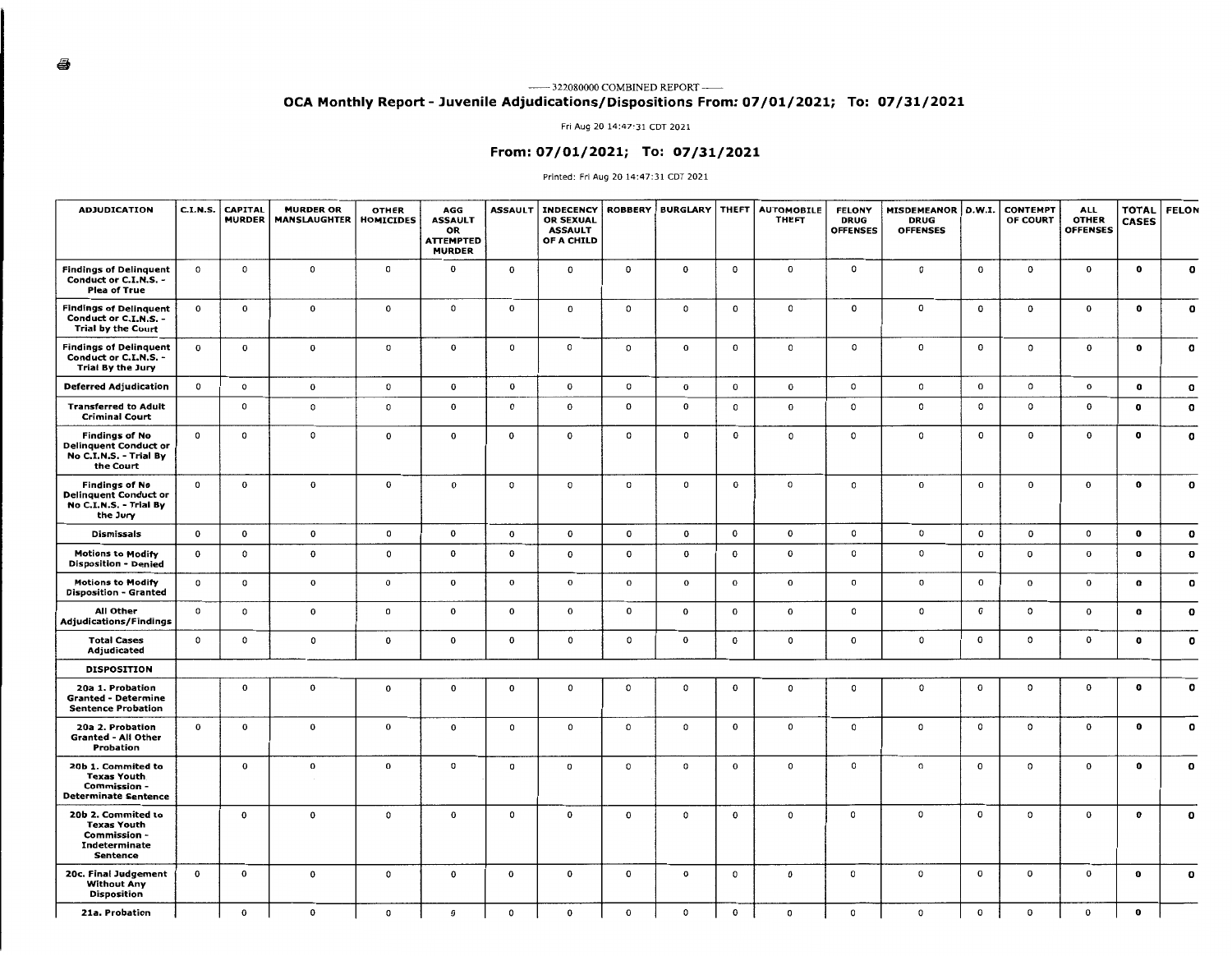#### 322080000 COMBINED REPORT~ **OCA Monthly Report - Juvenile Adjudications/Dispositions From: 07/01/2021; To: 07/31/2021**

Fri Aug 20 14:47:31 CDT 2021

### **From: 07/01/2021; To: 07/31/2021**

#### Printed: Fri Aug 20 14:47:31 CDT 2021

| <b>ADJUDICATION</b>                                                                          | <b>C.I.N.S.</b> | <b>CAPITAL</b><br><b>MURDER</b> | <b>MURDER OR</b><br><b>MANSLAUGHTER</b> | <b>OTHER</b><br><b>HOMICIDES</b> | AGG<br><b>ASSAULT</b><br>OR<br><b>ATTEMPTED</b><br><b>MURDER</b> | <b>ASSAULT</b> | <b>INDECENCY</b><br><b>OR SEXUAL</b><br><b>ASSAULT</b><br>OF A CHILD | <b>ROBBERY</b> | <b>BURGLARY</b> | <b>THEFT</b>   | <b>AUTOMOBILE</b><br>THEFT | <b>FELONY</b><br><b>DRUG</b><br><b>OFFENSES</b> | <b>MISDEMEANOR</b><br><b>DRUG</b><br><b>OFFENSES</b> | D.W.I.       | <b>CONTEMPT</b><br>OF COURT | <b>ALL</b><br><b>OTHER</b><br><b>OFFENSES</b> | <b>TOTAL</b><br><b>CASES</b> | <b>FELON</b> |
|----------------------------------------------------------------------------------------------|-----------------|---------------------------------|-----------------------------------------|----------------------------------|------------------------------------------------------------------|----------------|----------------------------------------------------------------------|----------------|-----------------|----------------|----------------------------|-------------------------------------------------|------------------------------------------------------|--------------|-----------------------------|-----------------------------------------------|------------------------------|--------------|
| <b>Findings of Delinquent</b><br>Conduct or C.I.N.S.<br><b>Plea of True</b>                  | $\mathbf{o}$    | $\mathsf{o}\,$                  | $\mathbf 0$                             | $\circ$                          | $\mathbf{o}$                                                     | $\mathbf{o}$   | $\mathbf 0$                                                          | $\mathbf{o}$   | $\mathbf 0$     | $\mathbf{o}$   | $\mathbf 0$                | $\circ$                                         | $\circ$                                              | $\mathbf{o}$ | $\mathbf{o}$                | $\mathbf 0$                                   | $\mathbf 0$                  | $\mathbf{o}$ |
| <b>Findings of Delinquent</b><br>Conduct or C.I.N.S. -<br><b>Trial by the Court</b>          | $\mathbf{o}$    | 0                               | $\mathbf{o}$                            | $\mathbf{o}$                     | $\circ$                                                          | $\mathbf{o}$   | 0                                                                    | $\circ$        | $\mathsf{o}\,$  | $\mathbf 0$    | 0                          | $\mathbf 0$                                     | 0                                                    | $\mathbf{o}$ | $\mathbf{o}$                | 0                                             | $\mathbf{o}$                 | $\mathbf{o}$ |
| <b>Findings of Delinquent</b><br>Conduct or C.I.N.S. -<br>Trial By the Jury                  | $\mathbf{o}$    | 0                               | 0                                       | 0                                | $\mathbf{o}$                                                     | $\circ$        | $\mathsf{o}$                                                         | $\circ$        | $\mathbf{o}$    | $\mathbf 0$    | 0                          | $\mathsf{o}$                                    | $\mathbf 0$                                          | $\mathbf{o}$ | 0                           | 0                                             | $\mathbf{o}$                 | $\mathbf{o}$ |
| <b>Deferred Adjudication</b>                                                                 | $\circ$         | $\mathsf{o}\,$                  | $\mathbf 0$                             | $\mathbf 0$                      | $\mathbf{o}$                                                     | 0              | $\mathbf 0$                                                          | $\circ$        | $\mathbf{o}$    | $\mathbf 0$    | 0                          | $\mathsf{o}\,$                                  | $\mathsf{o}\,$                                       | $\mathbf{o}$ | 0                           | 0                                             | $\mathbf o$                  | $\mathbf o$  |
| <b>Transferred to Adult</b><br><b>Criminal Court</b>                                         |                 | 0                               | 0                                       | 0                                | 0                                                                | $\mathbf 0$    | $\mathbf 0$                                                          | $\mathbf{o}$   | 0               | $\mathsf{o}\,$ | $\mathbf 0$                | $\mathsf{o}$                                    | $\mathsf{o}\,$                                       | 0            | 0                           | 0                                             | $\mathbf o$                  | $\mathbf{o}$ |
| <b>Findings of No</b><br><b>Delinquent Conduct or</b><br>No C.I.N.S. - Trial By<br>the Court | 0               | 0                               | 0                                       | $\mathbf 0$                      | $\mathbf 0$                                                      | $\mathbf 0$    | $\mathbf 0$                                                          | $\circ$        | $\mathsf{o}$    | $\mathbf{o}$   | $\mathsf{o}\,$             | $\mathsf{o}\,$                                  | $\mathsf{o}$                                         | 0            | 0                           | 0                                             | $\mathbf{o}$                 | $\mathbf o$  |
| <b>Findings of No</b><br><b>Delinquent Conduct or</b><br>No C.I.N.S. - Trial By<br>the Jury  | 0               | $\mathbf 0$                     | $\mathbf 0$                             | 0                                | 0                                                                | 0              | 0                                                                    | 0              | $\circ$         | $\mathbf{o}$   | 0                          | 0                                               | $\mathbf 0$                                          | $\mathbf 0$  | 0                           | 0                                             | $\mathbf 0$                  | $\mathbf o$  |
| <b>Dismissals</b>                                                                            | $\mathbf{o}$    | $\mathbf{o}$                    | 0                                       | o                                | 0                                                                | 0              | $\mathbf{o}$                                                         | $\mathbf 0$    | $\mathbf{o}$    | $\mathbf{o}$   | 0                          | $\mathbf 0$                                     | 0                                                    | $\mathbf{o}$ | 0                           | 0                                             | $\mathbf 0$                  | $\mathbf{o}$ |
| <b>Motions to Modify</b><br><b>Disposition - Denied</b>                                      | $\mathbf{o}$    | $\circ$                         | $\mathbf 0$                             | $\circ$                          | 0                                                                | $\mathbf{o}$   | $\mathbf{o}$                                                         | 0              | $\mathbf{o}$    | $\mathbf 0$    | 0                          | $\circ$                                         | 0                                                    | 0            | 0                           | 0                                             | $\mathbf{o}$                 | $\mathbf{o}$ |
| <b>Motions to Modify</b><br><b>Disposition - Granted</b>                                     | $\Omega$        | $^{\circ}$                      | $\mathbf{o}$                            | $\sigma$                         | 0                                                                | $\mathbf{o}$   | $\mathbf{o}$                                                         | $\mathbf{o}$   | $\mathbf{o}$    | $\mathbf{o}$   | $\mathbf 0$                | $\mathbf{o}$                                    | $\mathbf 0$                                          | $\mathbf 0$  | $\mathbf 0$                 | $\mathbf 0$                                   | $\mathbf{o}$                 | $\mathbf{o}$ |
| All Other<br><b>Adjudications/Findings</b>                                                   | $\mathbf{o}$    | $\circ$                         | 0                                       | 0                                | 0                                                                | 0              | $\mathbf 0$                                                          | 0              | $\mathbf 0$     | $\mathbf 0$    | $\mathbf 0$                | $\circ$                                         | o                                                    | $\mathbf{o}$ | 0                           | $\mathbf 0$                                   | $\mathbf o$                  | $\mathbf{o}$ |
| <b>Total Cases</b><br>Adjudicated                                                            | $\Omega$        | $\mathbf 0$                     | $\circ$                                 | $\mathbf{o}$                     | 0                                                                | 0              | $\mathbf 0$                                                          | 0              | $\mathbf{o}$    | 0              | 0                          | $\mathbf 0$                                     | 0                                                    | 0            | 0                           | 0                                             | $\mathbf o$                  | $\mathbf o$  |
| <b>DISPOSITION</b>                                                                           |                 |                                 |                                         |                                  |                                                                  |                |                                                                      |                |                 |                |                            |                                                 |                                                      |              |                             |                                               |                              |              |
| 20a 1. Probation<br><b>Granted - Determine</b><br><b>Sentence Probation</b>                  |                 | $\mathbf{o}$                    | 0                                       | 0                                | 0                                                                | 0              | $\mathsf{o}$                                                         | 0              | $\mathbf 0$     | 0              | 0                          | $\circ$                                         | o                                                    | $\mathbf{o}$ | 0                           | 0                                             | $\mathbf o$                  | $\Omega$     |
| 20a 2. Probation<br><b>Granted - All Other</b><br>Probation                                  | $\mathbf 0$     | $\mathbf{o}$                    | $\mathbf 0$                             | 0                                | 0                                                                | $\Omega$       | $\mathbf 0$                                                          | 0              | $\mathbf 0$     | $\mathbf{o}$   | $\mathsf{o}$               | 0                                               | o                                                    | $^{\circ}$   | 0                           | 0                                             | $\mathbf{o}$                 | $\mathbf o$  |
| 20b 1. Commited to<br><b>Texas Youth</b><br>Commission -<br><b>Determinate Sentence</b>      |                 | $\mathbf 0$                     | 0                                       | $\mathbf{o}$                     | 0                                                                | 0              | 0                                                                    | 0              | $\circ$         | $\mathbf{o}$   | 0                          | 0                                               | 0                                                    | 0            | 0                           | 0                                             | $\mathbf{o}$                 | $\mathbf{o}$ |
| 20b 2. Commited to<br><b>Texas Youth</b><br>Commission -<br>Indeterminate<br><b>Sentence</b> |                 | 0                               | 0                                       | $\mathsf{o}\,$                   | 0                                                                | $\mathbf 0$    | $\mathbf 0$                                                          | $\mathbf 0$    | 0               | $\mathbf 0$    | $\mathsf{o}\,$             | o                                               | 0                                                    | 0            | 0                           | 0                                             | $\mathbf{o}$                 | o            |
| 20c. Final Judgement<br><b>Without Any</b><br>Disposition                                    | 0               | $\mathbf 0$                     | $\mathbf 0$                             | $\mathbf 0$                      | 0                                                                | $\mathbf 0$    | $\mathbf 0$                                                          | 0              | 0               | $\circ$        | 0                          | $\mathbf 0$                                     | 0                                                    | 0            | 0                           | 0                                             | $\mathbf{o}$                 | $\mathbf o$  |
| 21a. Probation                                                                               |                 | $\Omega$                        | $\Omega$                                | $\Omega$                         | $\Omega$                                                         | $\Omega$       | $\Omega$                                                             | $\Omega$       | 0               | $\mathbf{o}$   | $^{\circ}$                 | $\mathbf{o}$                                    | 0                                                    | $\mathbf{o}$ | 0                           | 0                                             | $\mathbf{o}$                 |              |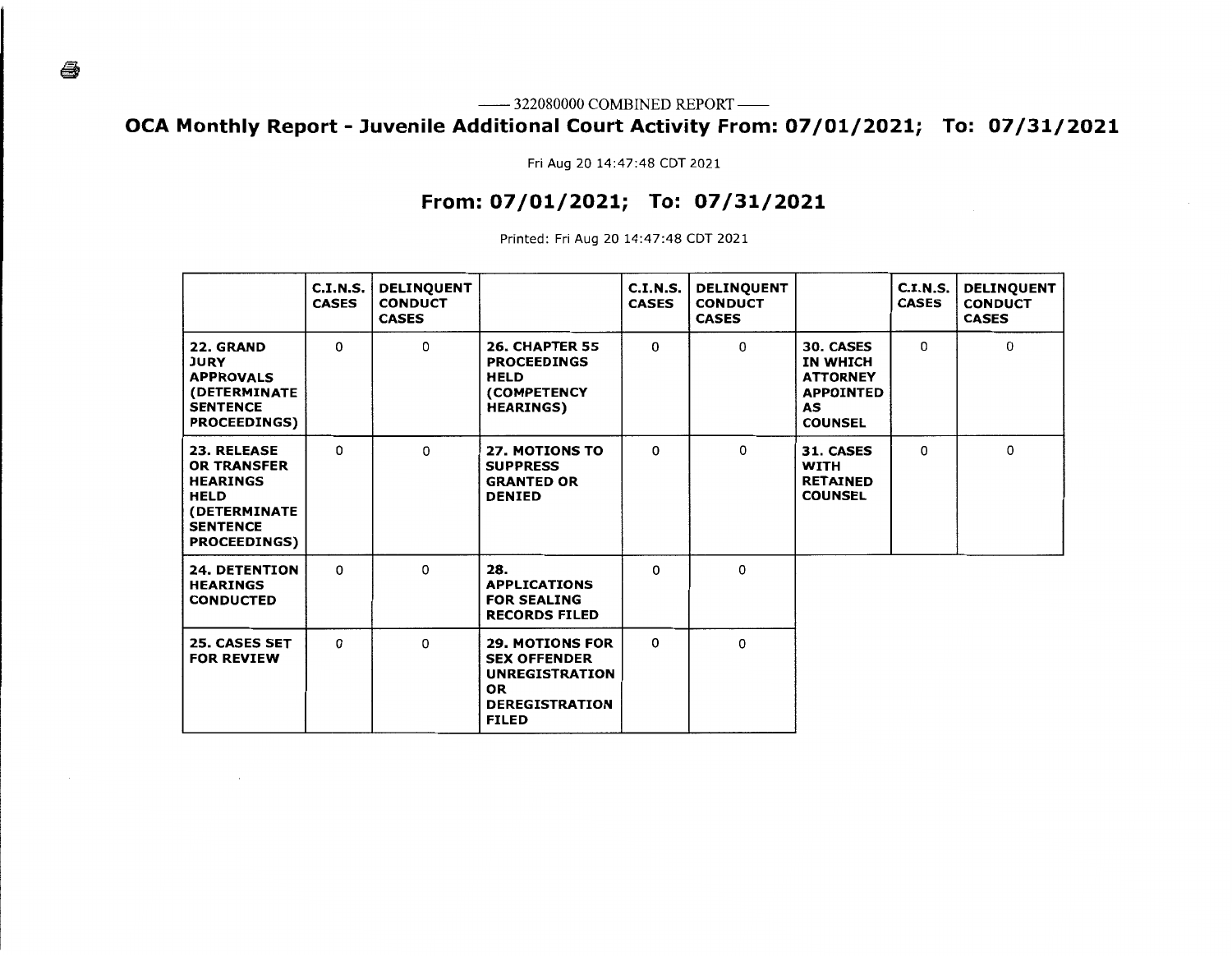--------- 322080000 COMBINED REPORT --------

# **OCA Monthly Report - Juvenile Additional Court Activity From: 07/01/2021; To: 07/31/2021**

Fri Aug 20 14:47:48 CDT 2021

# **From: 07/01/2021; To: 07/31/2021**

Printed: Fri Aug 20 14:47:48 CDT 2021

|                                                                                                                                                     | C.I.N.S.<br><b>CASES</b> | <b>DELINQUENT</b><br><b>CONDUCT</b><br><b>CASES</b> |                                                                                                                              | C.I.N.S.<br><b>CASES</b> | <b>DELINQUENT</b><br><b>CONDUCT</b><br><b>CASES</b> |                                                                                             | C.I.N.S.<br><b>CASES</b> | <b>DELINQUENT</b><br><b>CONDUCT</b><br><b>CASES</b> |
|-----------------------------------------------------------------------------------------------------------------------------------------------------|--------------------------|-----------------------------------------------------|------------------------------------------------------------------------------------------------------------------------------|--------------------------|-----------------------------------------------------|---------------------------------------------------------------------------------------------|--------------------------|-----------------------------------------------------|
| 22. GRAND<br><b>JURY</b><br><b>APPROVALS</b><br>(DETERMINATE<br><b>SENTENCE</b><br><b>PROCEEDINGS)</b>                                              | 0                        | 0                                                   | <b>26. CHAPTER 55</b><br><b>PROCEEDINGS</b><br><b>HELD</b><br>(COMPETENCY<br><b>HEARINGS)</b>                                | 0                        | $\Omega$                                            | 30. CASES<br>IN WHICH<br><b>ATTORNEY</b><br><b>APPOINTED</b><br><b>AS</b><br><b>COUNSEL</b> | $\Omega$                 | 0                                                   |
| <b>23. RELEASE</b><br><b>OR TRANSFER</b><br><b>HEARINGS</b><br><b>HELD</b><br><i><b>(DETERMINATE)</b></i><br><b>SENTENCE</b><br><b>PROCEEDINGS)</b> | 0                        | $\Omega$                                            | <b>27. MOTIONS TO</b><br><b>SUPPRESS</b><br><b>GRANTED OR</b><br><b>DENIED</b>                                               | 0                        | $\Omega$                                            | <b>31. CASES</b><br><b>WITH</b><br><b>RETAINED</b><br><b>COUNSEL</b>                        | $\Omega$                 | 0                                                   |
| <b>24. DETENTION</b><br><b>HEARINGS</b><br><b>CONDUCTED</b>                                                                                         | $\Omega$                 | 0                                                   | 28.<br><b>APPLICATIONS</b><br><b>FOR SEALING</b><br><b>RECORDS FILED</b>                                                     | 0                        | 0                                                   |                                                                                             |                          |                                                     |
| <b>25. CASES SET</b><br><b>FOR REVIEW</b>                                                                                                           | 0                        | 0                                                   | <b>29. MOTIONS FOR</b><br><b>SEX OFFENDER</b><br><b>UNREGISTRATION</b><br><b>OR</b><br><b>DEREGISTRATION</b><br><b>FILED</b> | 0                        | $\Omega$                                            |                                                                                             |                          |                                                     |

ê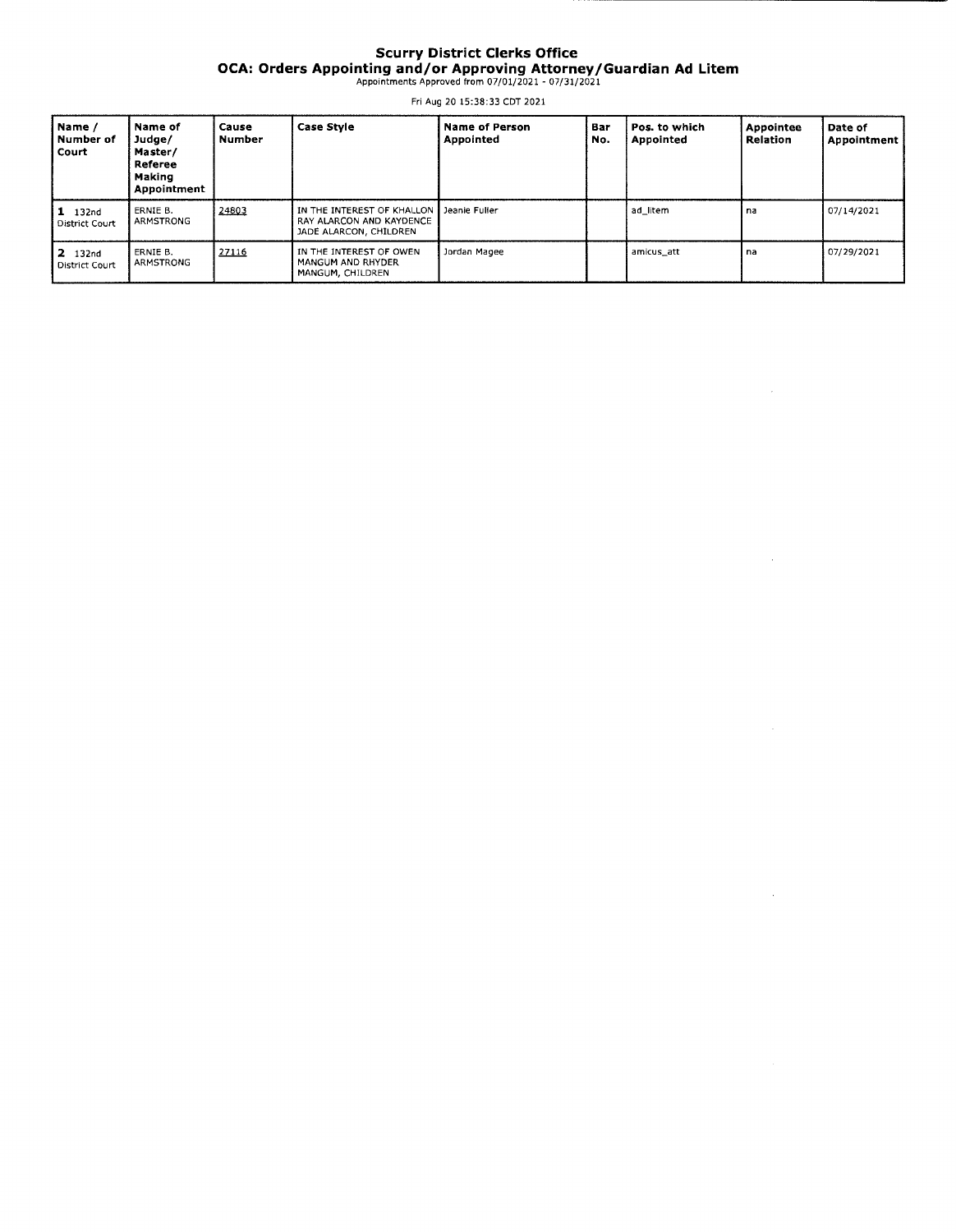### **Scurry District Clerks Office OCA: Orders Appointing and/or Approving Attorney/Guardian Ad Litem**  Appointments Approved from 07/01/2021 - 07/31/2021

Fri Aug 20 15:38:33 CDT 2021

| Name /<br>Number of<br>Court | Name of<br>Judge/<br>Master/<br>Referee<br>Making<br><b>Appointment</b> | Cause<br><b>Number</b> | <b>Case Style</b>                                                                                | <b>Name of Person</b><br>Appointed | Bar<br>No. | Pos. to which<br>Appointed | Appointee<br><b>Relation</b> | Date of<br>Appointment |
|------------------------------|-------------------------------------------------------------------------|------------------------|--------------------------------------------------------------------------------------------------|------------------------------------|------------|----------------------------|------------------------------|------------------------|
| $1$ 132nd<br>District Court  | ERNIE B.<br>ARMSTRONG                                                   | 24803                  | IN THE INTEREST OF KHALLON   Jeanie Fuller<br>RAY ALARCON AND KAYDENCE<br>JADE ALARCON, CHILDREN |                                    |            | ad litem                   | na                           | 07/14/2021             |
| $12$ 132nd<br>District Court | ERNIE B.<br>ARMSTRONG                                                   | 27116                  | IN THE INTEREST OF OWEN<br>I MANGUM AND RHYDER<br>MANGUM, CHILDREN                               | Jordan Magee                       |            | amicus att                 | na                           | 07/29/2021             |

 $\hat{\mathcal{A}}$ 

à,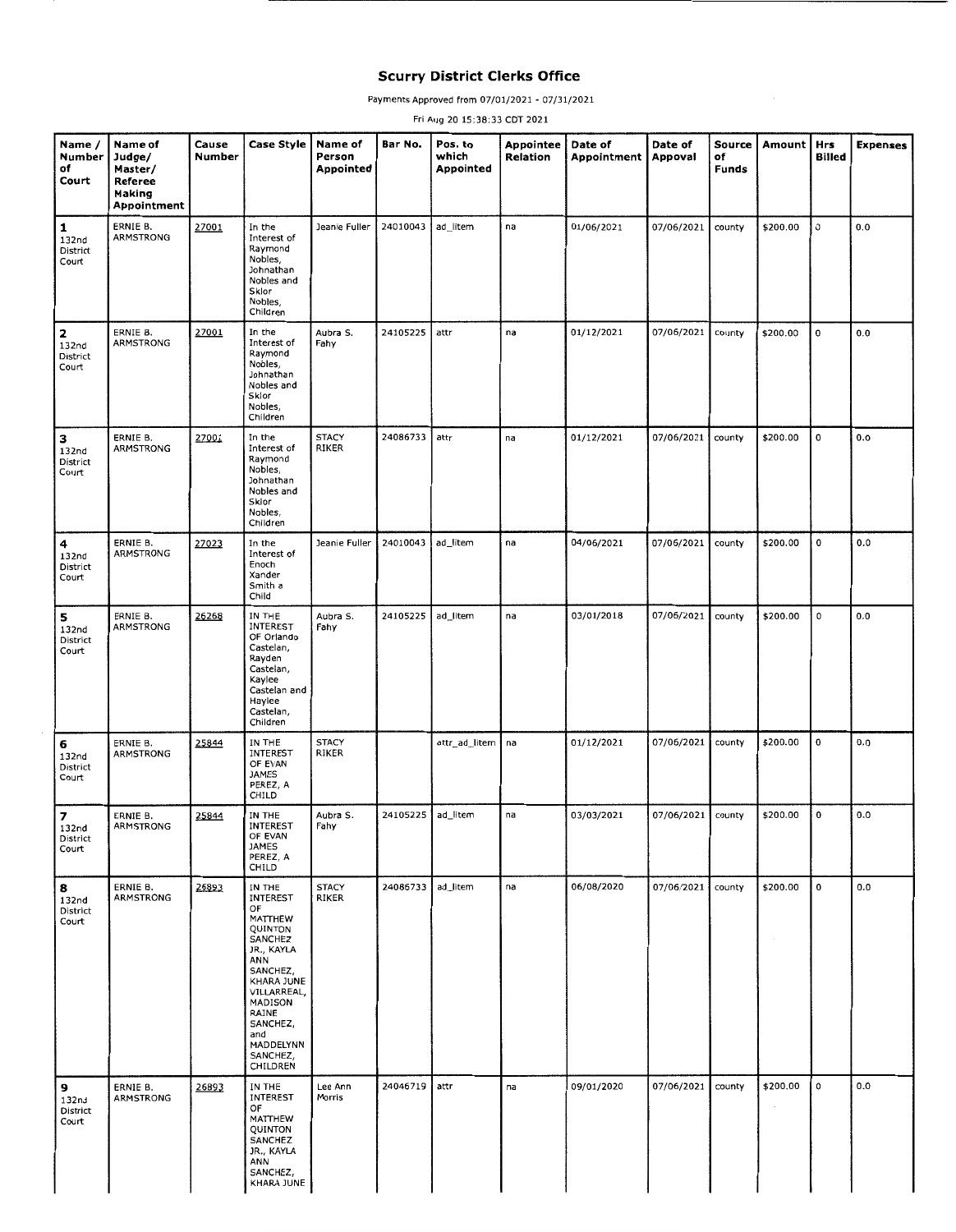### **Scurry District Clerks Office**

Payments Approved from 07/01/2021 - 07/31/2021

Fri Aug 20 15:38:33 CDT 2021

| Name /<br>Number<br>of<br>Court                        | Name of<br>Judge/<br>Master/<br>Referee<br>Making<br>Appointment | Cause<br>Number | <b>Case Style</b>                                                                                                                                                                                   | Name of<br>Person<br>Appointed | Bar No.  | Pos. to<br>which<br>Appointed | Appointee<br>Relation | Date of<br>Appointment | Date of<br>Appoval | Source<br>of<br><b>Funds</b> | Amount   | <b>Hrs</b><br><b>Billed</b> | <b>Expenses</b> |
|--------------------------------------------------------|------------------------------------------------------------------|-----------------|-----------------------------------------------------------------------------------------------------------------------------------------------------------------------------------------------------|--------------------------------|----------|-------------------------------|-----------------------|------------------------|--------------------|------------------------------|----------|-----------------------------|-----------------|
| $\mathbf{1}$<br>132 <sub>nd</sub><br>District<br>Court | ERNIE B.<br>ARMSTRONG                                            | 27001           | In the<br>Interest of<br>Raymond<br>Nobles,<br>Johnathan<br>Nobles and<br>Sklor<br>Nobles,<br>Children                                                                                              | Jeanie Fuller                  | 24010043 | ad_litem                      | na                    | 01/06/2021             | 07/06/2021         | county                       | \$200.00 | 0                           | 0.0             |
| $\mathbf{z}$<br>132 <sub>nd</sub><br>District<br>Court | ERNIE B.<br>ARMSTRONG                                            | 27001           | In the<br>Interest of<br>Raymond<br>Nobles,<br>Johnathan<br>Nobles and<br>Sklor<br>Nobles,<br>Children                                                                                              | Aubra S.<br>Fahy               | 24105225 | attr                          | na                    | 01/12/2021             | 07/06/2021         | county                       | \$200.00 | $\mathbf 0$                 | 0.0             |
| з<br>132 <sub>nd</sub><br>District<br>Court            | ERNIE B.<br><b>ARMSTRONG</b>                                     | 27001           | In the<br>Interest of<br>Raymond<br>Nobles.<br>Johnathan<br>Nobles and<br>Sklor<br>Nobles,<br>Children                                                                                              | <b>STACY</b><br>RIKER          | 24086733 | attr                          | na                    | 01/12/2021             | 07/06/2021         | county                       | \$200.00 | 0                           | 0.0             |
| 4<br>132 <sub>nd</sub><br>District<br>Court            | ERNIE B.<br>ARMSTRONG                                            | 27023           | In the<br>Interest of<br>Enoch<br>Xander<br>Smith a<br>Child                                                                                                                                        | Jeanie Fuller                  | 24010043 | ad_litem                      | na                    | 04/06/2021             | 07/06/2021         | county                       | \$200.00 | 0                           | 0.0             |
| 5<br>132nd<br>District<br>Court                        | ERNIE B.<br>ARMSTRONG                                            | 26268           | IN THE<br>INTEREST<br>OF Orlando<br>Castelan,<br>Rayden<br>Castelan,<br>Kaylee<br>Castelan and<br>Haylee<br>Castelan,<br>Children                                                                   | Aubra S.<br>Fahy               | 24105225 | ad_litem                      | na                    | 03/01/2018             | 07/06/2021         | county                       | \$200.00 | 0                           | 0.0             |
| 6<br>132nd<br>District<br>Court                        | ERNIE B.<br><b>ARMSTRONG</b>                                     | 25844           | IN THE<br>INTEREST<br>OF EVAN<br><b>JAMES</b><br>PEREZ, A<br>CHILD                                                                                                                                  | <b>STACY</b><br><b>RIKER</b>   |          | attr_ad_litem                 | na                    | 01/12/2021             | 07/06/2021         | county                       | \$200.00 | $\mathbf 0$                 | 0.0             |
| $\overline{\phantom{a}}$<br>132nd<br>District<br>Court | ERNIE B.<br>ARMSTRONG                                            | 25844           | IN THE<br>INTEREST<br>OF EVAN<br>JAMES<br>PEREZ, A<br>CHILD                                                                                                                                         | Aubra S.<br>Fahy               | 24105225 | ad_litem                      | na                    | 03/03/2021             | 07/06/2021         | county                       | \$200.00 | $\pmb{0}$                   | 0.0             |
| 8<br>132nd<br>District<br>Court                        | ERNIE B.<br>ARMSTRONG                                            | 26893           | IN THE<br>INTEREST<br>OF<br>MATTHEW<br>QUINTON<br>SANCHEZ<br>JR., KAYLA<br>ANN<br>SANCHEZ,<br>KHARA JUNE<br>VILLARREAL,<br>MADISON<br>RAINE<br>SANCHEZ,<br>and<br>MADDELYNN<br>SANCHEZ,<br>CHILDREN | <b>STACY</b><br><b>RIKER</b>   | 24086733 | ad_litem                      | na                    | 06/08/2020             | 07/06/2021         | county                       | \$200.00 | $\mathbf 0$                 | 0.0             |
| 9<br>132 <sub>nd</sub><br>District<br>Court            | ERNIE B.<br>ARMSTRONG                                            | 26893           | IN THE<br>INTEREST<br>OF<br>MATTHEW<br>QUINTON<br>SANCHEZ<br>JR., KAYLA<br>ANN<br>SANCHEZ,<br>KHARA JUNE                                                                                            | Lee Ann<br>Morris              | 24046719 | attr                          | na                    | 09/01/2020             | 07/06/2021         | county                       | \$200.00 | $\mathsf{o}$                | 0.0             |